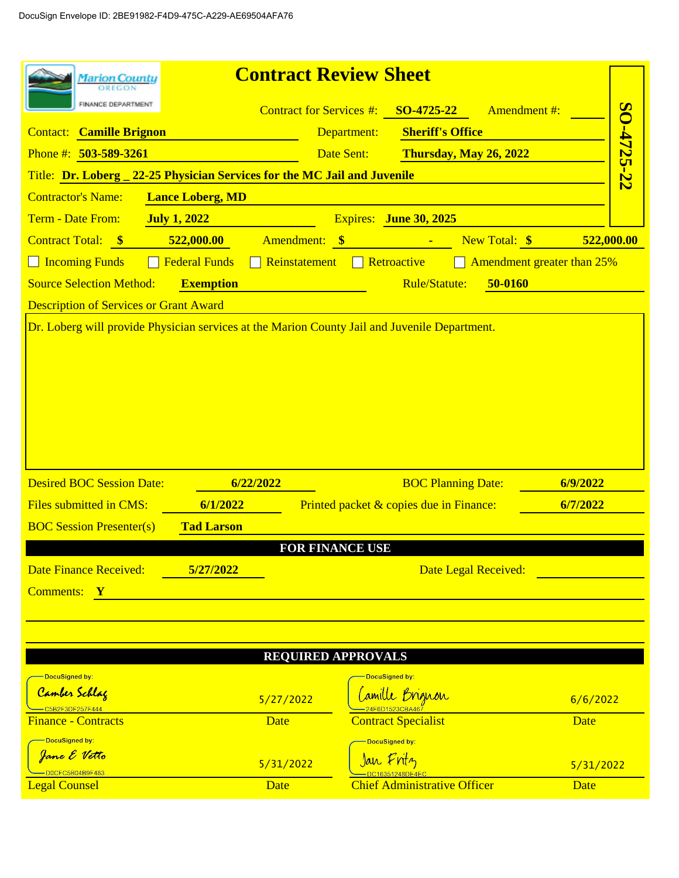| <b>Marion County</b>                                                                          |                                       | <b>Contract Review Sheet</b>                       |                            |
|-----------------------------------------------------------------------------------------------|---------------------------------------|----------------------------------------------------|----------------------------|
| FINANCE DEPARTMENT                                                                            | <b>Contract for Services #:</b>       | SO-4725-22<br><b>Amendment#:</b>                   |                            |
| <b>Contact: Camille Brignon</b>                                                               |                                       | <b>Sheriff's Office</b><br>Department:             | SO-4725-22                 |
| Phone #: $503 - 589 - 3261$                                                                   |                                       | Date Sent:<br>Thursday, May 26, 2022               |                            |
| Title: Dr. Loberg _ 22-25 Physician Services for the MC Jail and Juvenile                     |                                       |                                                    |                            |
| <b>Contractor's Name:</b>                                                                     | <b>Lance Loberg, MD</b>               |                                                    |                            |
| Term - Date From:<br><b>July 1, 2022</b>                                                      |                                       | Expires: June 30, 2025                             |                            |
| Contract Total: \$                                                                            | 522,000.00<br>Amendment:              | New Total: \$<br>$\bullet$<br><b>Service State</b> | 522,000.00                 |
| $\Box$ Incoming Funds                                                                         | <b>Federal Funds</b><br>Reinstatement | $\Box$ Retroactive                                 | Amendment greater than 25% |
| <b>Source Selection Method:</b>                                                               | <b>Exemption</b>                      | Rule/Statute:<br>50-0160                           |                            |
| <b>Description of Services or Grant Award</b>                                                 |                                       |                                                    |                            |
| Dr. Loberg will provide Physician services at the Marion County Jail and Juvenile Department. |                                       |                                                    |                            |
|                                                                                               |                                       |                                                    |                            |
|                                                                                               |                                       |                                                    |                            |
| <b>Desired BOC Session Date:</b>                                                              | 6/22/2022                             | <b>BOC Planning Date:</b>                          | 6/9/2022                   |
| Files submitted in CMS:                                                                       | 6/1/2022                              | Printed packet & copies due in Finance:            | 6/7/2022                   |
| <b>BOC Session Presenter(s)</b>                                                               | <b>Tad Larson</b>                     |                                                    |                            |
|                                                                                               |                                       | <b>FOR FINANCE USE</b>                             |                            |
| <b>Date Finance Received:</b>                                                                 | 5/27/2022                             | Date Legal Received:                               |                            |
| Comments: Y                                                                                   |                                       |                                                    |                            |
|                                                                                               |                                       |                                                    |                            |
|                                                                                               |                                       |                                                    |                            |
|                                                                                               |                                       | <b>REQUIRED APPROVALS</b>                          |                            |
| DocuSigned by:                                                                                |                                       | DocuSigned by:                                     |                            |
| Camber Schlag<br>C5B2F3DF257F44 <sub>*</sub>                                                  | 5/27/2022                             | Camille Brignon                                    | 6/6/2022                   |
| <b>Finance - Contracts</b>                                                                    | Date                                  | <b>Contract Specialist</b>                         | Date                       |
| OocuSigned by <mark>:</mark>                                                                  |                                       | -DocuSigned by:                                    |                            |
| Jane E Vetto<br>D0CFC5B04B9F483                                                               | 5/31/2022                             | Jan Fritz                                          | 5/31/2022                  |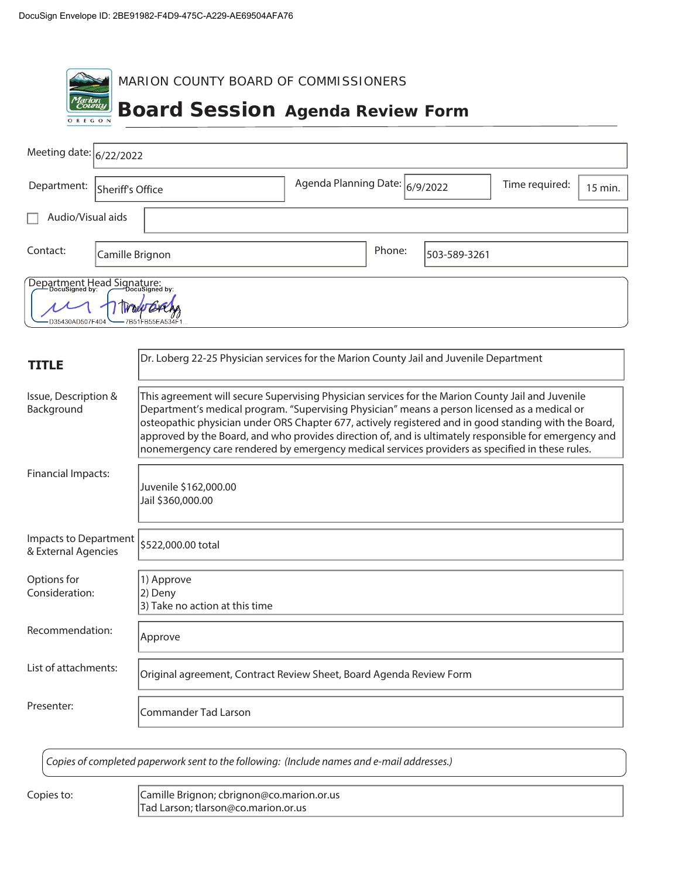$\overline{\phantom{a}}$ 

| MARION COUNTY BOARD OF COMMISSIONERS                                                      |                                |                |         |  |
|-------------------------------------------------------------------------------------------|--------------------------------|----------------|---------|--|
| <b>Marion</b><br>County<br><b>Board Session Agenda Review Form</b><br>OREGON              |                                |                |         |  |
| Meeting date: $ 6/22/2022$                                                                |                                |                |         |  |
| Department:<br>Sheriff's Office                                                           | Agenda Planning Date: 6/9/2022 | Time required: | 15 min. |  |
| Audio/Visual aids                                                                         |                                |                |         |  |
| Contact:<br>Camille Brignon                                                               | Phone:<br>503-589-3261         |                |         |  |
| Department Head Signature:<br>Department Head Signature:<br>D35430AD507F40<br>FB55EA534F1 |                                |                |         |  |

| TITLE                                        | Dr. Loberg 22-25 Physician services for the Marion County Jail and Juvenile Department                                                                                                                                                                                                                                                                                                                                                                                                                                  |
|----------------------------------------------|-------------------------------------------------------------------------------------------------------------------------------------------------------------------------------------------------------------------------------------------------------------------------------------------------------------------------------------------------------------------------------------------------------------------------------------------------------------------------------------------------------------------------|
| Issue, Description &<br>Background           | This agreement will secure Supervising Physician services for the Marion County Jail and Juvenile<br>Department's medical program. "Supervising Physician" means a person licensed as a medical or<br>osteopathic physician under ORS Chapter 677, actively registered and in good standing with the Board,<br>approved by the Board, and who provides direction of, and is ultimately responsible for emergency and<br>nonemergency care rendered by emergency medical services providers as specified in these rules. |
| <b>Financial Impacts:</b>                    | Juvenile \$162,000.00<br>Jail \$360,000.00                                                                                                                                                                                                                                                                                                                                                                                                                                                                              |
| Impacts to Department<br>& External Agencies | \$522,000.00 total                                                                                                                                                                                                                                                                                                                                                                                                                                                                                                      |
| Options for<br>Consideration:                | 1) Approve<br>2) Deny<br>3) Take no action at this time                                                                                                                                                                                                                                                                                                                                                                                                                                                                 |
| Recommendation:                              | Approve                                                                                                                                                                                                                                                                                                                                                                                                                                                                                                                 |
| List of attachments:                         | Original agreement, Contract Review Sheet, Board Agenda Review Form                                                                                                                                                                                                                                                                                                                                                                                                                                                     |
| Presenter:                                   | Commander Tad Larson                                                                                                                                                                                                                                                                                                                                                                                                                                                                                                    |

Copies of completed paperwork sent to the following: (Include names and e-mail addresses.)

Copies to: Camille Brignon; cbrignon@co.marion.or.us Tad Larson; tlarson@co.marion.or.us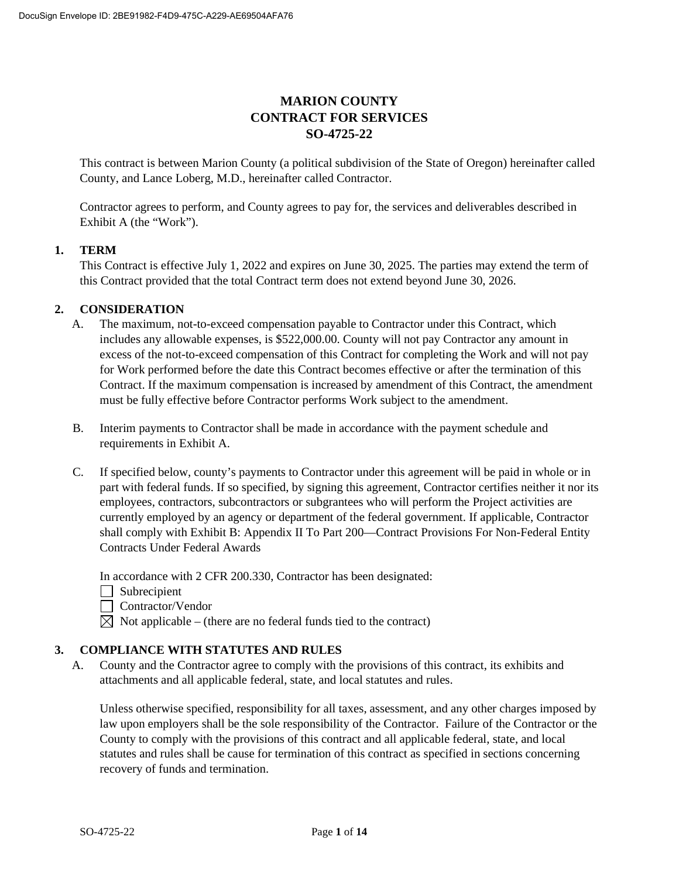# **MARION COUNTY CONTRACT FOR SERVICES SO-4725-22**

This contract is between Marion County (a political subdivision of the State of Oregon) hereinafter called County, and Lance Loberg, M.D., hereinafter called Contractor.

Contractor agrees to perform, and County agrees to pay for, the services and deliverables described in Exhibit A (the "Work").

### **1. TERM**

This Contract is effective July 1, 2022 and expires on June 30, 2025. The parties may extend the term of this Contract provided that the total Contract term does not extend beyond June 30, 2026.

### **2. CONSIDERATION**

- A. The maximum, not-to-exceed compensation payable to Contractor under this Contract, which includes any allowable expenses, is \$522,000.00. County will not pay Contractor any amount in excess of the not-to-exceed compensation of this Contract for completing the Work and will not pay for Work performed before the date this Contract becomes effective or after the termination of this Contract. If the maximum compensation is increased by amendment of this Contract, the amendment must be fully effective before Contractor performs Work subject to the amendment.
- B. Interim payments to Contractor shall be made in accordance with the payment schedule and requirements in Exhibit A.
- C. If specified below, county's payments to Contractor under this agreement will be paid in whole or in part with federal funds. If so specified, by signing this agreement, Contractor certifies neither it nor its employees, contractors, subcontractors or subgrantees who will perform the Project activities are currently employed by an agency or department of the federal government. If applicable, Contractor shall comply with Exhibit B: Appendix II To Part 200—Contract Provisions For Non-Federal Entity Contracts Under Federal Awards

In accordance with 2 CFR 200.330, Contractor has been designated:

- $\Box$  Subrecipient
- Contractor/Vendor
- $\boxtimes$  Not applicable (there are no federal funds tied to the contract)

### **3. COMPLIANCE WITH STATUTES AND RULES**

A. County and the Contractor agree to comply with the provisions of this contract, its exhibits and attachments and all applicable federal, state, and local statutes and rules.

Unless otherwise specified, responsibility for all taxes, assessment, and any other charges imposed by law upon employers shall be the sole responsibility of the Contractor. Failure of the Contractor or the County to comply with the provisions of this contract and all applicable federal, state, and local statutes and rules shall be cause for termination of this contract as specified in sections concerning recovery of funds and termination.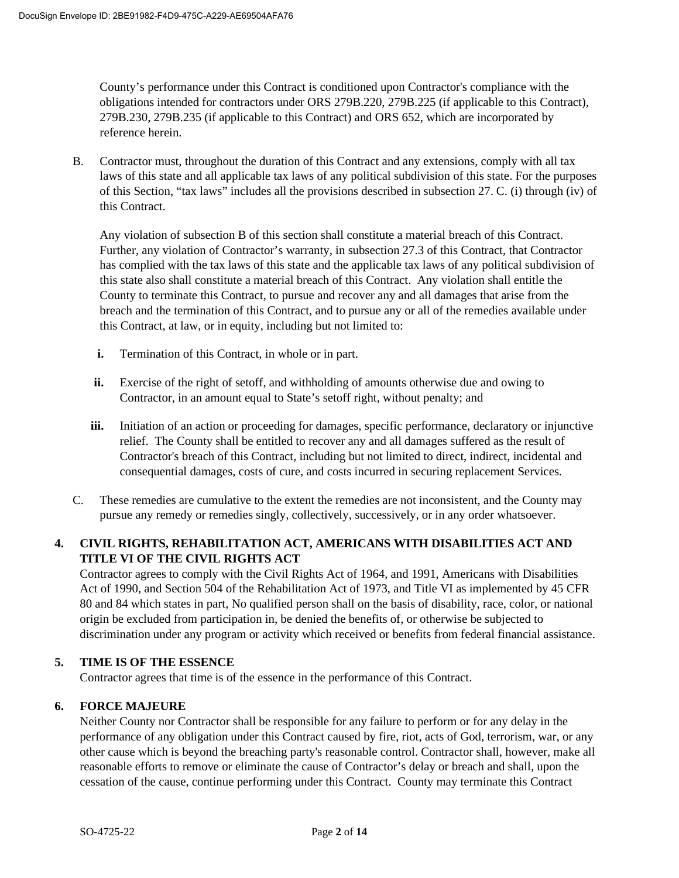County's performance under this Contract is conditioned upon Contractor's compliance with the obligations intended for contractors under ORS 279B.220, 279B.225 (if applicable to this Contract), 279B.230, 279B.235 (if applicable to this Contract) and ORS 652, which are incorporated by reference herein.

B. Contractor must, throughout the duration of this Contract and any extensions, comply with all tax laws of this state and all applicable tax laws of any political subdivision of this state. For the purposes of this Section, "tax laws" includes all the provisions described in subsection 27. C. (i) through (iv) of this Contract.

Any violation of subsection B of this section shall constitute a material breach of this Contract. Further, any violation of Contractor's warranty, in subsection 27.3 of this Contract, that Contractor has complied with the tax laws of this state and the applicable tax laws of any political subdivision of this state also shall constitute a material breach of this Contract. Any violation shall entitle the County to terminate this Contract, to pursue and recover any and all damages that arise from the breach and the termination of this Contract, and to pursue any or all of the remedies available under this Contract, at law, or in equity, including but not limited to:

- **i.** Termination of this Contract, in whole or in part.
- **ii.** Exercise of the right of setoff, and withholding of amounts otherwise due and owing to Contractor, in an amount equal to State's setoff right, without penalty; and
- **iii.** Initiation of an action or proceeding for damages, specific performance, declaratory or injunctive relief. The County shall be entitled to recover any and all damages suffered as the result of Contractor's breach of this Contract, including but not limited to direct, indirect, incidental and consequential damages, costs of cure, and costs incurred in securing replacement Services.
- C. These remedies are cumulative to the extent the remedies are not inconsistent, and the County may pursue any remedy or remedies singly, collectively, successively, or in any order whatsoever.

## **4. CIVIL RIGHTS, REHABILITATION ACT, AMERICANS WITH DISABILITIES ACT AND TITLE VI OF THE CIVIL RIGHTS ACT**

Contractor agrees to comply with the Civil Rights Act of 1964, and 1991, Americans with Disabilities Act of 1990, and Section 504 of the Rehabilitation Act of 1973, and Title VI as implemented by 45 CFR 80 and 84 which states in part, No qualified person shall on the basis of disability, race, color, or national origin be excluded from participation in, be denied the benefits of, or otherwise be subjected to discrimination under any program or activity which received or benefits from federal financial assistance.

## **5. TIME IS OF THE ESSENCE**

Contractor agrees that time is of the essence in the performance of this Contract.

## **6. FORCE MAJEURE**

Neither County nor Contractor shall be responsible for any failure to perform or for any delay in the performance of any obligation under this Contract caused by fire, riot, acts of God, terrorism, war, or any other cause which is beyond the breaching party's reasonable control. Contractor shall, however, make all reasonable efforts to remove or eliminate the cause of Contractor's delay or breach and shall, upon the cessation of the cause, continue performing under this Contract. County may terminate this Contract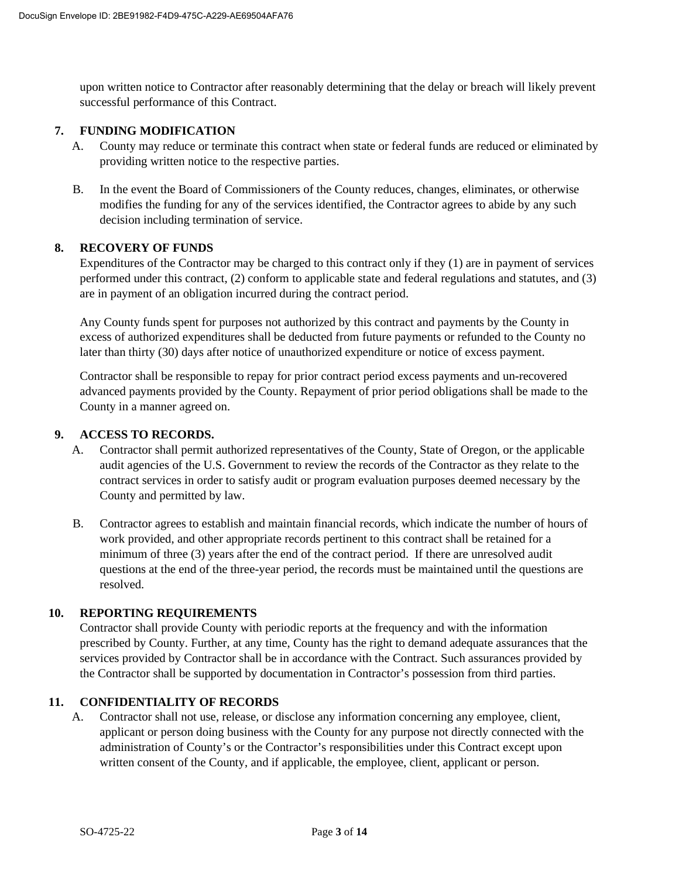upon written notice to Contractor after reasonably determining that the delay or breach will likely prevent successful performance of this Contract.

### **7. FUNDING MODIFICATION**

- A. County may reduce or terminate this contract when state or federal funds are reduced or eliminated by providing written notice to the respective parties.
- B. In the event the Board of Commissioners of the County reduces, changes, eliminates, or otherwise modifies the funding for any of the services identified, the Contractor agrees to abide by any such decision including termination of service.

### **8. RECOVERY OF FUNDS**

Expenditures of the Contractor may be charged to this contract only if they (1) are in payment of services performed under this contract, (2) conform to applicable state and federal regulations and statutes, and (3) are in payment of an obligation incurred during the contract period.

Any County funds spent for purposes not authorized by this contract and payments by the County in excess of authorized expenditures shall be deducted from future payments or refunded to the County no later than thirty (30) days after notice of unauthorized expenditure or notice of excess payment.

Contractor shall be responsible to repay for prior contract period excess payments and un-recovered advanced payments provided by the County. Repayment of prior period obligations shall be made to the County in a manner agreed on.

### **9. ACCESS TO RECORDS.**

- A. Contractor shall permit authorized representatives of the County, State of Oregon, or the applicable audit agencies of the U.S. Government to review the records of the Contractor as they relate to the contract services in order to satisfy audit or program evaluation purposes deemed necessary by the County and permitted by law.
- B. Contractor agrees to establish and maintain financial records, which indicate the number of hours of work provided, and other appropriate records pertinent to this contract shall be retained for a minimum of three (3) years after the end of the contract period. If there are unresolved audit questions at the end of the three-year period, the records must be maintained until the questions are resolved.

## **10. REPORTING REQUIREMENTS**

Contractor shall provide County with periodic reports at the frequency and with the information prescribed by County. Further, at any time, County has the right to demand adequate assurances that the services provided by Contractor shall be in accordance with the Contract. Such assurances provided by the Contractor shall be supported by documentation in Contractor's possession from third parties.

### **11. CONFIDENTIALITY OF RECORDS**

A. Contractor shall not use, release, or disclose any information concerning any employee, client, applicant or person doing business with the County for any purpose not directly connected with the administration of County's or the Contractor's responsibilities under this Contract except upon written consent of the County, and if applicable, the employee, client, applicant or person.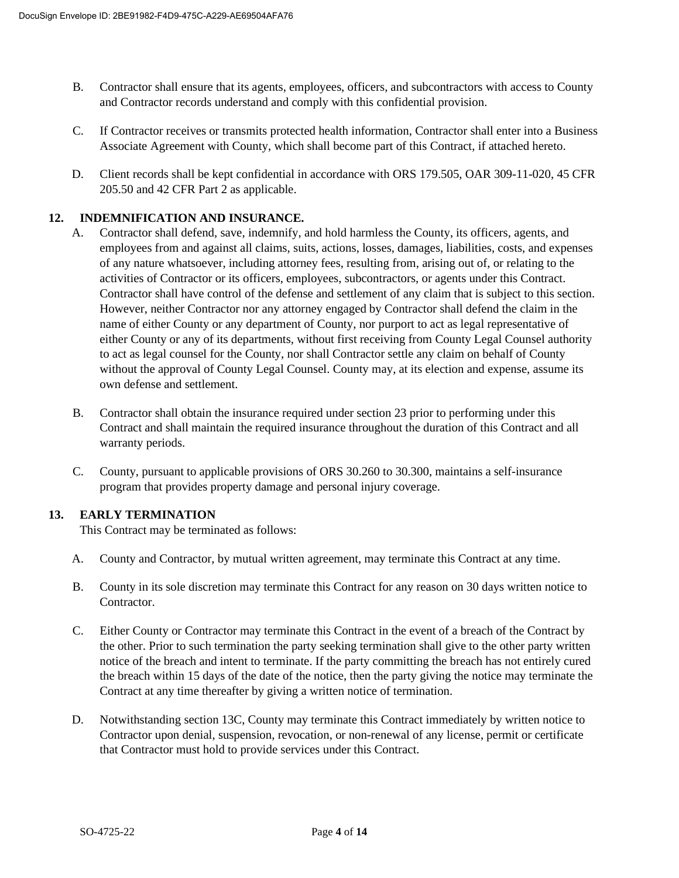- B. Contractor shall ensure that its agents, employees, officers, and subcontractors with access to County and Contractor records understand and comply with this confidential provision.
- C. If Contractor receives or transmits protected health information, Contractor shall enter into a Business Associate Agreement with County, which shall become part of this Contract, if attached hereto.
- D. Client records shall be kept confidential in accordance with ORS 179.505, OAR 309-11-020, 45 CFR 205.50 and 42 CFR Part 2 as applicable.

### **12. INDEMNIFICATION AND INSURANCE.**

- A. Contractor shall defend, save, indemnify, and hold harmless the County, its officers, agents, and employees from and against all claims, suits, actions, losses, damages, liabilities, costs, and expenses of any nature whatsoever, including attorney fees, resulting from, arising out of, or relating to the activities of Contractor or its officers, employees, subcontractors, or agents under this Contract. Contractor shall have control of the defense and settlement of any claim that is subject to this section. However, neither Contractor nor any attorney engaged by Contractor shall defend the claim in the name of either County or any department of County, nor purport to act as legal representative of either County or any of its departments, without first receiving from County Legal Counsel authority to act as legal counsel for the County, nor shall Contractor settle any claim on behalf of County without the approval of County Legal Counsel. County may, at its election and expense, assume its own defense and settlement.
- B. Contractor shall obtain the insurance required under section 23 prior to performing under this Contract and shall maintain the required insurance throughout the duration of this Contract and all warranty periods.
- C. County, pursuant to applicable provisions of ORS 30.260 to 30.300, maintains a self-insurance program that provides property damage and personal injury coverage.

## **13. EARLY TERMINATION**

This Contract may be terminated as follows:

- A. County and Contractor, by mutual written agreement, may terminate this Contract at any time.
- B. County in its sole discretion may terminate this Contract for any reason on 30 days written notice to Contractor.
- C. Either County or Contractor may terminate this Contract in the event of a breach of the Contract by the other. Prior to such termination the party seeking termination shall give to the other party written notice of the breach and intent to terminate. If the party committing the breach has not entirely cured the breach within 15 days of the date of the notice, then the party giving the notice may terminate the Contract at any time thereafter by giving a written notice of termination.
- D. Notwithstanding section 13C, County may terminate this Contract immediately by written notice to Contractor upon denial, suspension, revocation, or non-renewal of any license, permit or certificate that Contractor must hold to provide services under this Contract.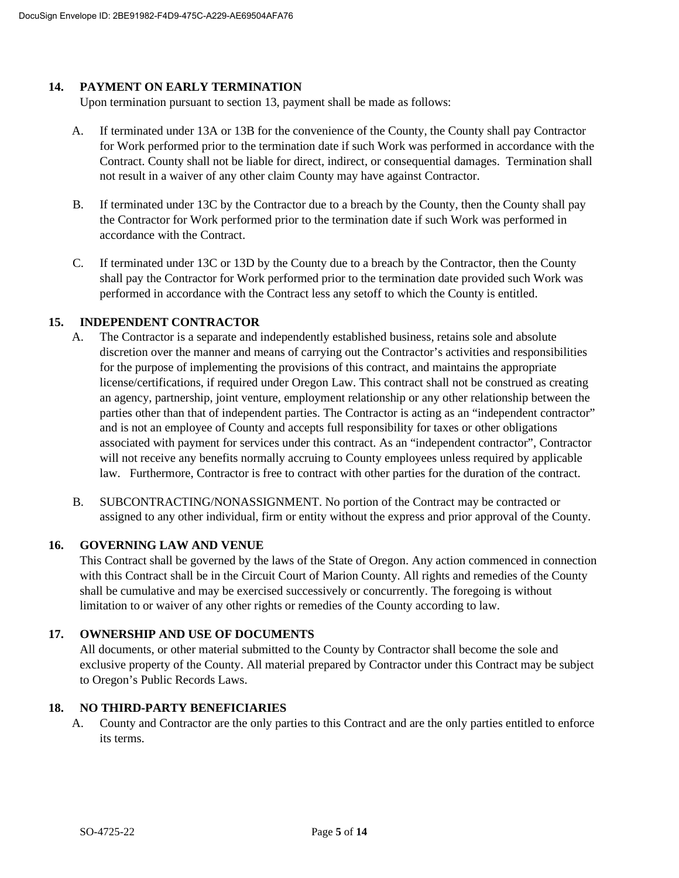### **14. PAYMENT ON EARLY TERMINATION**

Upon termination pursuant to section 13, payment shall be made as follows:

- A. If terminated under 13A or 13B for the convenience of the County, the County shall pay Contractor for Work performed prior to the termination date if such Work was performed in accordance with the Contract. County shall not be liable for direct, indirect, or consequential damages. Termination shall not result in a waiver of any other claim County may have against Contractor.
- B. If terminated under 13C by the Contractor due to a breach by the County, then the County shall pay the Contractor for Work performed prior to the termination date if such Work was performed in accordance with the Contract.
- C. If terminated under 13C or 13D by the County due to a breach by the Contractor, then the County shall pay the Contractor for Work performed prior to the termination date provided such Work was performed in accordance with the Contract less any setoff to which the County is entitled.

### **15. INDEPENDENT CONTRACTOR**

- A. The Contractor is a separate and independently established business, retains sole and absolute discretion over the manner and means of carrying out the Contractor's activities and responsibilities for the purpose of implementing the provisions of this contract, and maintains the appropriate license/certifications, if required under Oregon Law. This contract shall not be construed as creating an agency, partnership, joint venture, employment relationship or any other relationship between the parties other than that of independent parties. The Contractor is acting as an "independent contractor" and is not an employee of County and accepts full responsibility for taxes or other obligations associated with payment for services under this contract. As an "independent contractor", Contractor will not receive any benefits normally accruing to County employees unless required by applicable law. Furthermore, Contractor is free to contract with other parties for the duration of the contract.
- B. SUBCONTRACTING/NONASSIGNMENT. No portion of the Contract may be contracted or assigned to any other individual, firm or entity without the express and prior approval of the County.

### **16. GOVERNING LAW AND VENUE**

This Contract shall be governed by the laws of the State of Oregon. Any action commenced in connection with this Contract shall be in the Circuit Court of Marion County. All rights and remedies of the County shall be cumulative and may be exercised successively or concurrently. The foregoing is without limitation to or waiver of any other rights or remedies of the County according to law.

## **17. OWNERSHIP AND USE OF DOCUMENTS**

All documents, or other material submitted to the County by Contractor shall become the sole and exclusive property of the County. All material prepared by Contractor under this Contract may be subject to Oregon's Public Records Laws.

### **18. NO THIRD-PARTY BENEFICIARIES**

A. County and Contractor are the only parties to this Contract and are the only parties entitled to enforce its terms.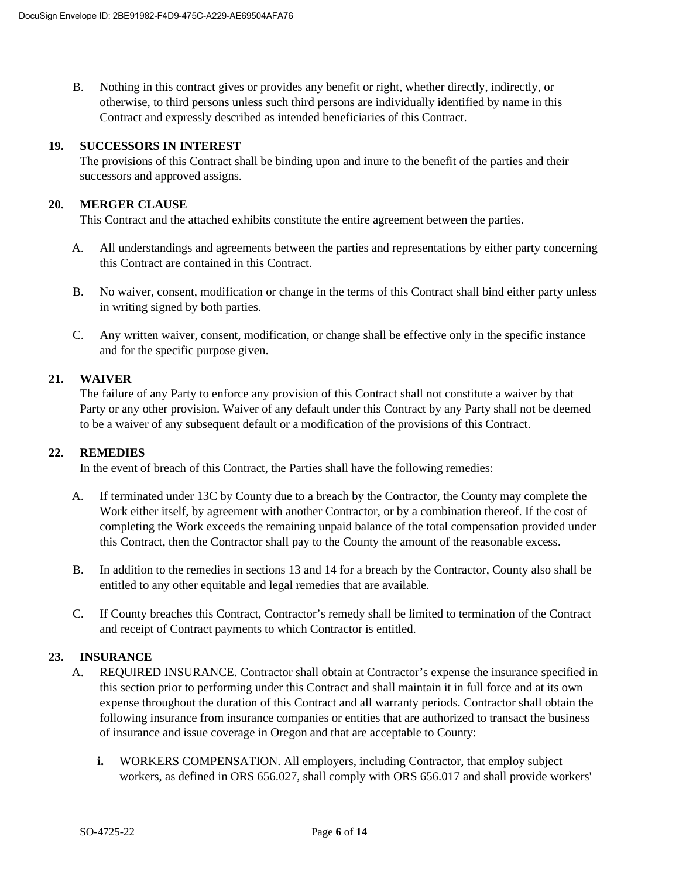B. Nothing in this contract gives or provides any benefit or right, whether directly, indirectly, or otherwise, to third persons unless such third persons are individually identified by name in this Contract and expressly described as intended beneficiaries of this Contract.

### **19. SUCCESSORS IN INTEREST**

The provisions of this Contract shall be binding upon and inure to the benefit of the parties and their successors and approved assigns.

### **20. MERGER CLAUSE**

This Contract and the attached exhibits constitute the entire agreement between the parties.

- A. All understandings and agreements between the parties and representations by either party concerning this Contract are contained in this Contract.
- B. No waiver, consent, modification or change in the terms of this Contract shall bind either party unless in writing signed by both parties.
- C. Any written waiver, consent, modification, or change shall be effective only in the specific instance and for the specific purpose given.

#### **21. WAIVER**

The failure of any Party to enforce any provision of this Contract shall not constitute a waiver by that Party or any other provision. Waiver of any default under this Contract by any Party shall not be deemed to be a waiver of any subsequent default or a modification of the provisions of this Contract.

### **22. REMEDIES**

In the event of breach of this Contract, the Parties shall have the following remedies:

- A. If terminated under 13C by County due to a breach by the Contractor, the County may complete the Work either itself, by agreement with another Contractor, or by a combination thereof. If the cost of completing the Work exceeds the remaining unpaid balance of the total compensation provided under this Contract, then the Contractor shall pay to the County the amount of the reasonable excess.
- B. In addition to the remedies in sections 13 and 14 for a breach by the Contractor, County also shall be entitled to any other equitable and legal remedies that are available.
- C. If County breaches this Contract, Contractor's remedy shall be limited to termination of the Contract and receipt of Contract payments to which Contractor is entitled.

### **23. INSURANCE**

- A. REQUIRED INSURANCE. Contractor shall obtain at Contractor's expense the insurance specified in this section prior to performing under this Contract and shall maintain it in full force and at its own expense throughout the duration of this Contract and all warranty periods. Contractor shall obtain the following insurance from insurance companies or entities that are authorized to transact the business of insurance and issue coverage in Oregon and that are acceptable to County:
	- **i.** WORKERS COMPENSATION. All employers, including Contractor, that employ subject workers, as defined in ORS 656.027, shall comply with ORS 656.017 and shall provide workers'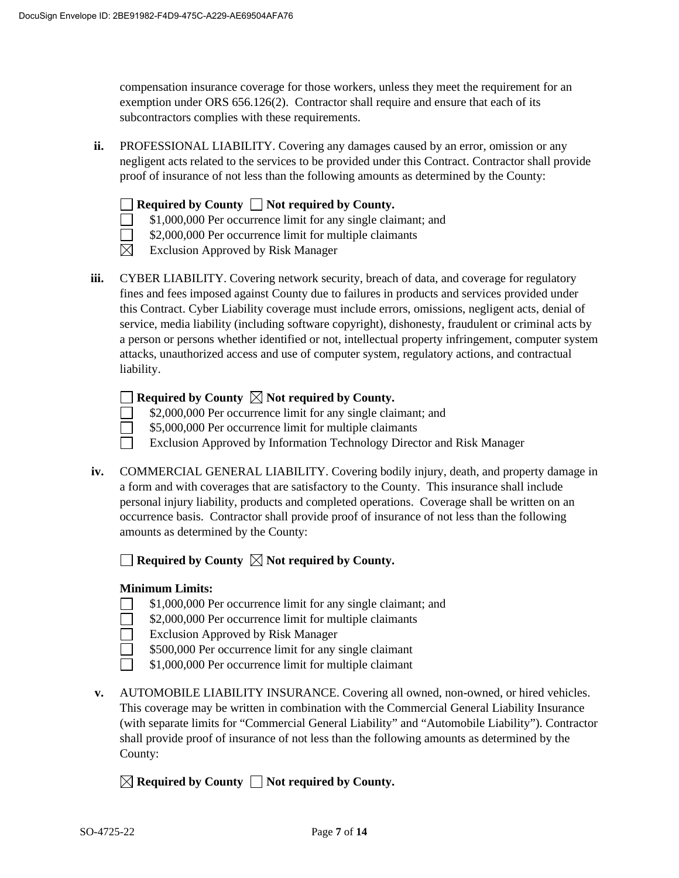compensation insurance coverage for those workers, unless they meet the requirement for an exemption under ORS 656.126(2). Contractor shall require and ensure that each of its subcontractors complies with these requirements.

**ii.** PROFESSIONAL LIABILITY. Covering any damages caused by an error, omission or any negligent acts related to the services to be provided under this Contract. Contractor shall provide proof of insurance of not less than the following amounts as determined by the County:



- \$1,000,000 Per occurrence limit for any single claimant; and  $\Box$
- $\Box$ \$2,000,000 Per occurrence limit for multiple claimants
- $\boxtimes$  Exclusion Approved by Risk Manager
- **iii.** CYBER LIABILITY. Covering network security, breach of data, and coverage for regulatory fines and fees imposed against County due to failures in products and services provided under this Contract. Cyber Liability coverage must include errors, omissions, negligent acts, denial of service, media liability (including software copyright), dishonesty, fraudulent or criminal acts by a person or persons whether identified or not, intellectual property infringement, computer system attacks, unauthorized access and use of computer system, regulatory actions, and contractual liability.

## **Required by County Not required by County.**

- \$2,000,000 Per occurrence limit for any single claimant; and
- $\Box$ \$5,000,000 Per occurrence limit for multiple claimants
	- Exclusion Approved by Information Technology Director and Risk Manager
- **iv.** COMMERCIAL GENERAL LIABILITY. Covering bodily injury, death, and property damage in a form and with coverages that are satisfactory to the County. This insurance shall include personal injury liability, products and completed operations. Coverage shall be written on an occurrence basis. Contractor shall provide proof of insurance of not less than the following amounts as determined by the County:

 $\Box$  **Required by County**  $\Box$  **Not required by County.** 

### **Minimum Limits:**

- \$1,000,000 Per occurrence limit for any single claimant; and
- \$2,000,000 Per occurrence limit for multiple claimants
- Exclusion Approved by Risk Manager
- \$500,000 Per occurrence limit for any single claimant
- \$1,000,000 Per occurrence limit for multiple claimant
- **v.** AUTOMOBILE LIABILITY INSURANCE. Covering all owned, non-owned, or hired vehicles. This coverage may be written in combination with the Commercial General Liability Insurance (with separate limits for "Commercial General Liability" and "Automobile Liability"). Contractor shall provide proof of insurance of not less than the following amounts as determined by the County:
	- $\boxtimes$  Required by County  $\Box$  Not required by County.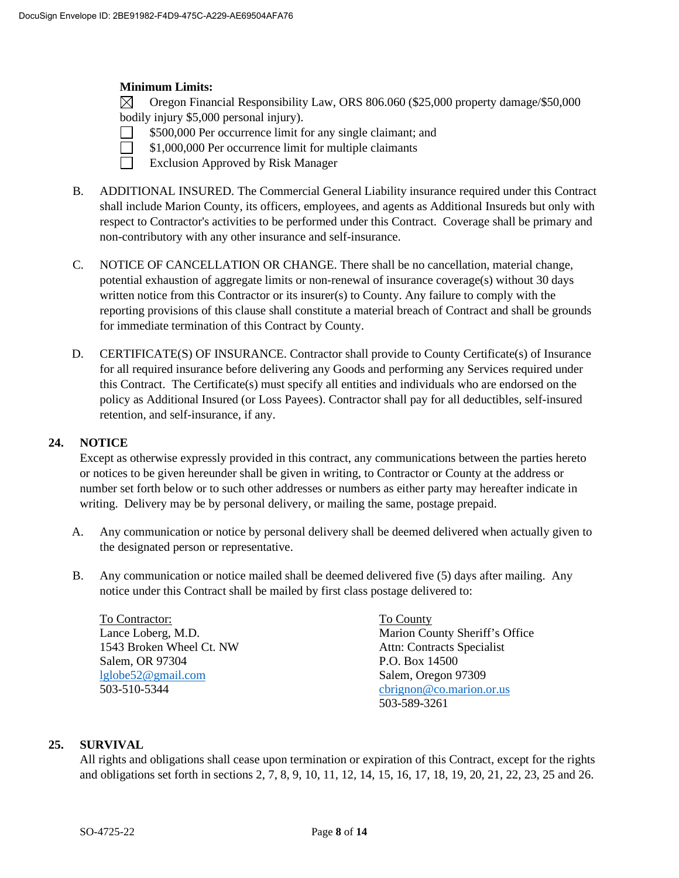#### **Minimum Limits:**

 $\boxtimes$ Oregon Financial Responsibility Law, ORS 806.060 (\$25,000 property damage/\$50,000 bodily injury \$5,000 personal injury).

- \$500,000 Per occurrence limit for any single claimant; and
- $\Box$ \$1,000,000 Per occurrence limit for multiple claimants
	- Exclusion Approved by Risk Manager
- B. ADDITIONAL INSURED. The Commercial General Liability insurance required under this Contract shall include Marion County, its officers, employees, and agents as Additional Insureds but only with respect to Contractor's activities to be performed under this Contract. Coverage shall be primary and non-contributory with any other insurance and self-insurance.
- C. NOTICE OF CANCELLATION OR CHANGE. There shall be no cancellation, material change, potential exhaustion of aggregate limits or non-renewal of insurance coverage(s) without 30 days written notice from this Contractor or its insurer(s) to County. Any failure to comply with the reporting provisions of this clause shall constitute a material breach of Contract and shall be grounds for immediate termination of this Contract by County.
- D. CERTIFICATE(S) OF INSURANCE. Contractor shall provide to County Certificate(s) of Insurance for all required insurance before delivering any Goods and performing any Services required under this Contract. The Certificate(s) must specify all entities and individuals who are endorsed on the policy as Additional Insured (or Loss Payees). Contractor shall pay for all deductibles, self-insured retention, and self-insurance, if any.

#### **24. NOTICE**

Except as otherwise expressly provided in this contract, any communications between the parties hereto or notices to be given hereunder shall be given in writing, to Contractor or County at the address or number set forth below or to such other addresses or numbers as either party may hereafter indicate in writing. Delivery may be by personal delivery, or mailing the same, postage prepaid.

- A. Any communication or notice by personal delivery shall be deemed delivered when actually given to the designated person or representative.
- B. Any communication or notice mailed shall be deemed delivered five (5) days after mailing. Any notice under this Contract shall be mailed by first class postage delivered to:

To Contractor: Lance Loberg, M.D. 1543 Broken Wheel Ct. NW Salem, OR 97304 [lglobe52@gmail.com](mailto:lglobe52@gmail.com) 503-510-5344

To County Marion County Sheriff's Office Attn: Contracts Specialist P.O. Box 14500 Salem, Oregon 97309 [cbrignon@co.marion.or.us](mailto:cbrignon@co.marion.or.us) 503-589-3261

### **25. SURVIVAL**

All rights and obligations shall cease upon termination or expiration of this Contract, except for the rights and obligations set forth in sections 2, 7, 8, 9, 10, 11, 12, 14, 15, 16, 17, 18, 19, 20, 21, 22, 23, 25 and 26.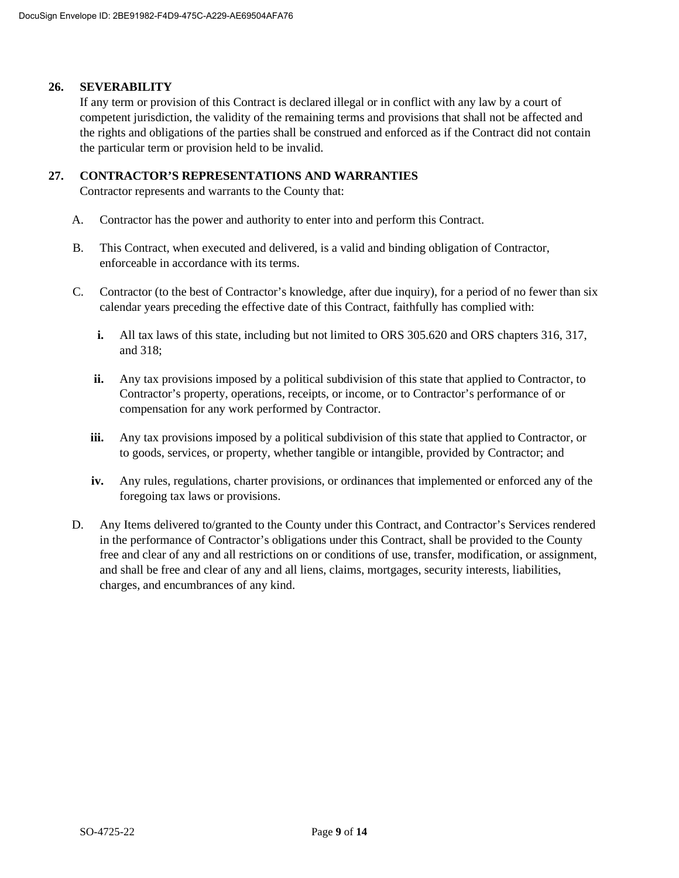#### **26. SEVERABILITY**

If any term or provision of this Contract is declared illegal or in conflict with any law by a court of competent jurisdiction, the validity of the remaining terms and provisions that shall not be affected and the rights and obligations of the parties shall be construed and enforced as if the Contract did not contain the particular term or provision held to be invalid.

### **27. CONTRACTOR'S REPRESENTATIONS AND WARRANTIES**

Contractor represents and warrants to the County that:

- A. Contractor has the power and authority to enter into and perform this Contract.
- B. This Contract, when executed and delivered, is a valid and binding obligation of Contractor, enforceable in accordance with its terms.
- C. Contractor (to the best of Contractor's knowledge, after due inquiry), for a period of no fewer than six calendar years preceding the effective date of this Contract, faithfully has complied with:
	- **i.** All tax laws of this state, including but not limited to ORS 305.620 and ORS chapters 316, 317, and 318;
	- **ii.** Any tax provisions imposed by a political subdivision of this state that applied to Contractor, to Contractor's property, operations, receipts, or income, or to Contractor's performance of or compensation for any work performed by Contractor.
	- **iii.** Any tax provisions imposed by a political subdivision of this state that applied to Contractor, or to goods, services, or property, whether tangible or intangible, provided by Contractor; and
	- **iv.** Any rules, regulations, charter provisions, or ordinances that implemented or enforced any of the foregoing tax laws or provisions.
- D. Any Items delivered to/granted to the County under this Contract, and Contractor's Services rendered in the performance of Contractor's obligations under this Contract, shall be provided to the County free and clear of any and all restrictions on or conditions of use, transfer, modification, or assignment, and shall be free and clear of any and all liens, claims, mortgages, security interests, liabilities, charges, and encumbrances of any kind.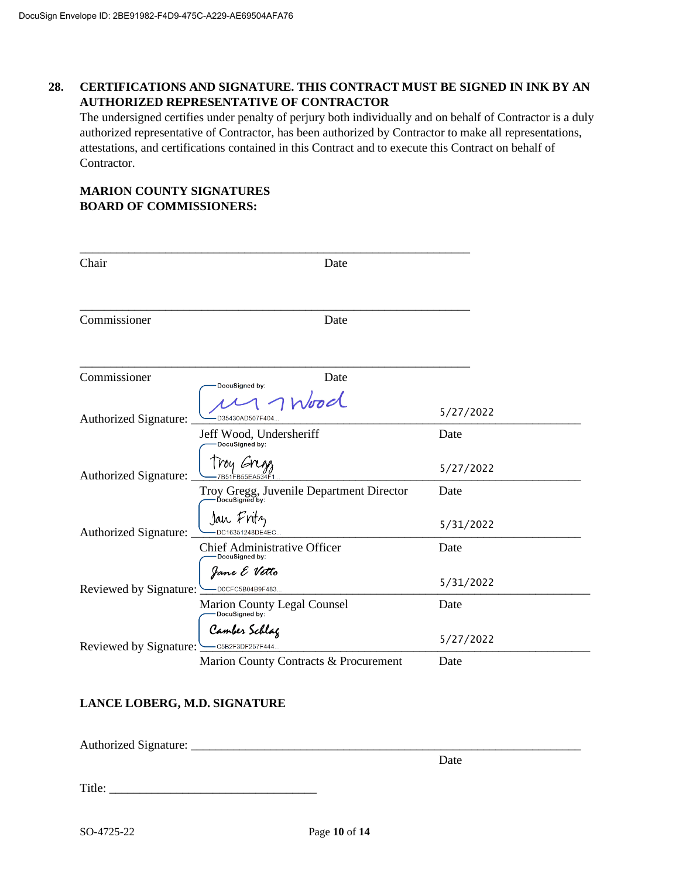## **28. CERTIFICATIONS AND SIGNATURE. THIS CONTRACT MUST BE SIGNED IN INK BY AN AUTHORIZED REPRESENTATIVE OF CONTRACTOR**

The undersigned certifies under penalty of perjury both individually and on behalf of Contractor is a duly authorized representative of Contractor, has been authorized by Contractor to make all representations, attestations, and certifications contained in this Contract and to execute this Contract on behalf of Contractor.

### **MARION COUNTY SIGNATURES BOARD OF COMMISSIONERS:**

| Chair                        | Date                                           |                   |
|------------------------------|------------------------------------------------|-------------------|
| Commissioner                 | Date                                           |                   |
| Commissioner                 | Date<br>DocuSigned by:<br>Wood                 |                   |
| <b>Authorized Signature:</b> | D35430AD507F404                                | 5/27/2022         |
|                              | Jeff Wood, Undersheriff<br>DocuSigned by:      | Date              |
| <b>Authorized Signature:</b> | Troy Gregg, Juvenile Department Director       | 5/27/2022<br>Date |
| Authorized Signature:        | Jan Fritz<br>DC16351248DE4EC                   | 5/31/2022         |
|                              | Chief Administrative Officer<br>DocuSigned by: | Date              |
| Reviewed by Signature:       | Jane E Vetto<br>D0CFC5B04B9F483                | 5/31/2022         |
|                              | Marion County Legal Counsel<br>DocuSigned by:  | Date              |
| Reviewed by Signature:       | Camber Schlag<br>C5B2F3DF257F444.              | 5/27/2022         |
|                              | Marion County Contracts & Procurement          | Date              |

## **LANCE LOBERG, M.D. SIGNATURE**

Authorized Signature: \_\_\_\_\_\_\_\_\_\_\_\_\_\_\_\_\_\_\_\_\_\_\_\_\_\_\_\_\_\_\_\_\_\_\_\_\_\_\_\_\_\_\_\_\_\_\_\_\_\_\_\_\_\_\_\_\_\_\_\_\_\_\_\_

Date

Title: \_\_\_\_\_\_\_\_\_\_\_\_\_\_\_\_\_\_\_\_\_\_\_\_\_\_\_\_\_\_\_\_\_\_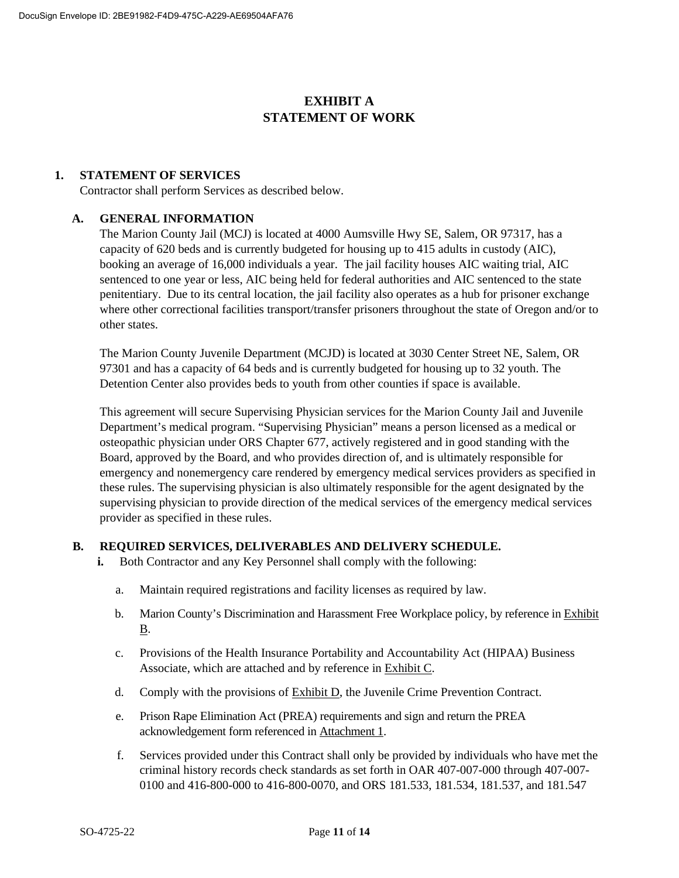# **EXHIBIT A STATEMENT OF WORK**

### **1. STATEMENT OF SERVICES**

Contractor shall perform Services as described below.

### **A. GENERAL INFORMATION**

The Marion County Jail (MCJ) is located at 4000 Aumsville Hwy SE, Salem, OR 97317, has a capacity of 620 beds and is currently budgeted for housing up to 415 adults in custody (AIC), booking an average of 16,000 individuals a year. The jail facility houses AIC waiting trial, AIC sentenced to one year or less, AIC being held for federal authorities and AIC sentenced to the state penitentiary. Due to its central location, the jail facility also operates as a hub for prisoner exchange where other correctional facilities transport/transfer prisoners throughout the state of Oregon and/or to other states.

The Marion County Juvenile Department (MCJD) is located at 3030 Center Street NE, Salem, OR 97301 and has a capacity of 64 beds and is currently budgeted for housing up to 32 youth. The Detention Center also provides beds to youth from other counties if space is available.

This agreement will secure Supervising Physician services for the Marion County Jail and Juvenile Department's medical program. "Supervising Physician" means a person licensed as a medical or osteopathic physician under ORS Chapter 677, actively registered and in good standing with the Board, approved by the Board, and who provides direction of, and is ultimately responsible for emergency and nonemergency care rendered by emergency medical services providers as specified in these rules. The supervising physician is also ultimately responsible for the agent designated by the supervising physician to provide direction of the medical services of the emergency medical services provider as specified in these rules.

### **B. REQUIRED SERVICES, DELIVERABLES AND DELIVERY SCHEDULE.**

- **i.** Both Contractor and any Key Personnel shall comply with the following:
	- a. Maintain required registrations and facility licenses as required by law.
	- b. Marion County's Discrimination and Harassment Free Workplace policy, by reference in Exhibit B.
	- c. Provisions of the Health Insurance Portability and Accountability Act (HIPAA) Business Associate, which are attached and by reference in Exhibit C.
	- d. Comply with the provisions of Exhibit D, the Juvenile Crime Prevention Contract.
	- e. Prison Rape Elimination Act (PREA) requirements and sign and return the PREA acknowledgement form referenced in Attachment 1.
	- f. Services provided under this Contract shall only be provided by individuals who have met the criminal history records check standards as set forth in OAR 407-007-000 through 407-007- 0100 and 416-800-000 to 416-800-0070, and ORS 181.533, 181.534, 181.537, and 181.547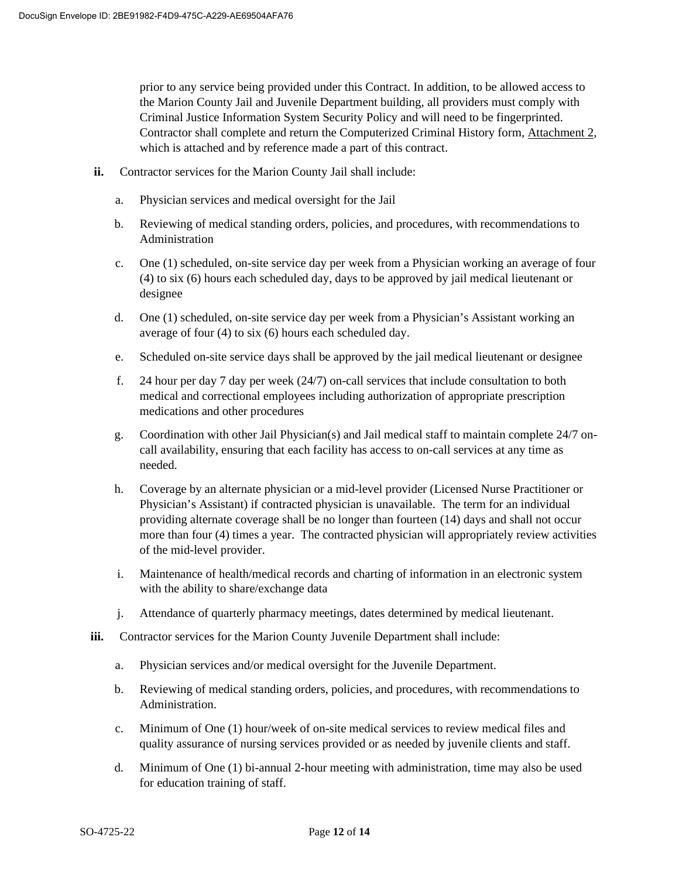prior to any service being provided under this Contract. In addition, to be allowed access to the Marion County Jail and Juvenile Department building, all providers must comply with Criminal Justice Information System Security Policy and will need to be fingerprinted. Contractor shall complete and return the Computerized Criminal History form, Attachment 2, which is attached and by reference made a part of this contract.

- **ii.** Contractor services for the Marion County Jail shall include:
	- a. Physician services and medical oversight for the Jail
	- b. Reviewing of medical standing orders, policies, and procedures, with recommendations to Administration
	- c. One (1) scheduled, on-site service day per week from a Physician working an average of four (4) to six (6) hours each scheduled day, days to be approved by jail medical lieutenant or designee
	- d. One (1) scheduled, on-site service day per week from a Physician's Assistant working an average of four (4) to six (6) hours each scheduled day.
	- e. Scheduled on-site service days shall be approved by the jail medical lieutenant or designee
	- f. 24 hour per day 7 day per week (24/7) on-call services that include consultation to both medical and correctional employees including authorization of appropriate prescription medications and other procedures
	- g. Coordination with other Jail Physician(s) and Jail medical staff to maintain complete 24/7 oncall availability, ensuring that each facility has access to on-call services at any time as needed.
	- h. Coverage by an alternate physician or a mid-level provider (Licensed Nurse Practitioner or Physician's Assistant) if contracted physician is unavailable. The term for an individual providing alternate coverage shall be no longer than fourteen (14) days and shall not occur more than four (4) times a year. The contracted physician will appropriately review activities of the mid-level provider.
	- i. Maintenance of health/medical records and charting of information in an electronic system with the ability to share/exchange data
	- j. Attendance of quarterly pharmacy meetings, dates determined by medical lieutenant.
- **iii.** Contractor services for the Marion County Juvenile Department shall include:
	- a. Physician services and/or medical oversight for the Juvenile Department.
	- b. Reviewing of medical standing orders, policies, and procedures, with recommendations to Administration.
	- c. Minimum of One (1) hour/week of on-site medical services to review medical files and quality assurance of nursing services provided or as needed by juvenile clients and staff.
	- d. Minimum of One (1) bi-annual 2-hour meeting with administration, time may also be used for education training of staff.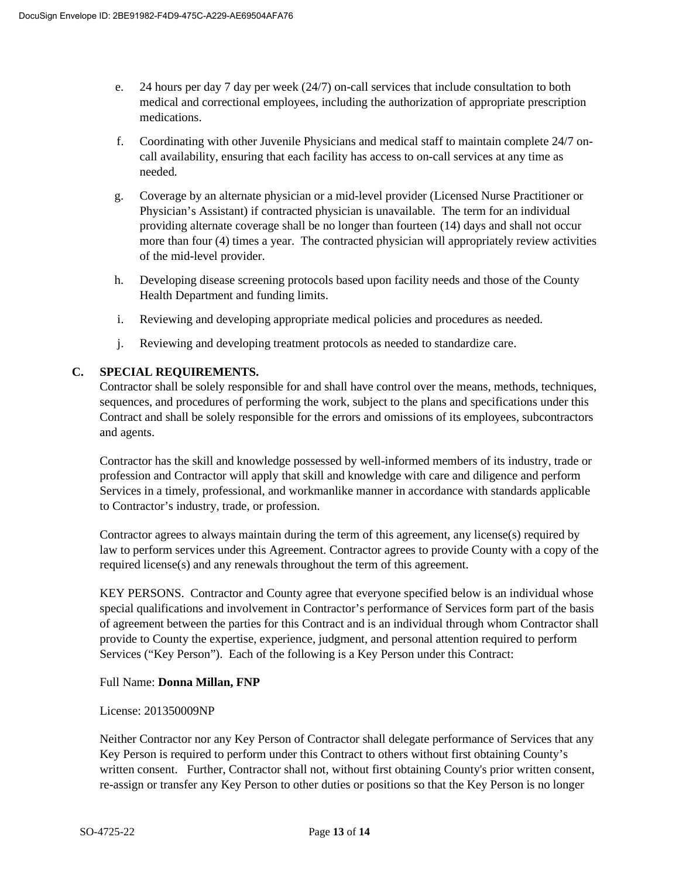- e. 24 hours per day 7 day per week (24/7) on-call services that include consultation to both medical and correctional employees, including the authorization of appropriate prescription medications.
- f. Coordinating with other Juvenile Physicians and medical staff to maintain complete 24/7 oncall availability, ensuring that each facility has access to on-call services at any time as needed.
- g. Coverage by an alternate physician or a mid-level provider (Licensed Nurse Practitioner or Physician's Assistant) if contracted physician is unavailable. The term for an individual providing alternate coverage shall be no longer than fourteen (14) days and shall not occur more than four (4) times a year. The contracted physician will appropriately review activities of the mid-level provider.
- h. Developing disease screening protocols based upon facility needs and those of the County Health Department and funding limits.
- i. Reviewing and developing appropriate medical policies and procedures as needed.
- j. Reviewing and developing treatment protocols as needed to standardize care.

## **C. SPECIAL REQUIREMENTS.**

Contractor shall be solely responsible for and shall have control over the means, methods, techniques, sequences, and procedures of performing the work, subject to the plans and specifications under this Contract and shall be solely responsible for the errors and omissions of its employees, subcontractors and agents.

Contractor has the skill and knowledge possessed by well-informed members of its industry, trade or profession and Contractor will apply that skill and knowledge with care and diligence and perform Services in a timely, professional, and workmanlike manner in accordance with standards applicable to Contractor's industry, trade, or profession.

Contractor agrees to always maintain during the term of this agreement, any license(s) required by law to perform services under this Agreement. Contractor agrees to provide County with a copy of the required license(s) and any renewals throughout the term of this agreement.

KEY PERSONS.Contractor and County agree that everyone specified below is an individual whose special qualifications and involvement in Contractor's performance of Services form part of the basis of agreement between the parties for this Contract and is an individual through whom Contractor shall provide to County the expertise, experience, judgment, and personal attention required to perform Services ("Key Person"). Each of the following is a Key Person under this Contract:

### Full Name: **Donna Millan, FNP**

### License: 201350009NP

Neither Contractor nor any Key Person of Contractor shall delegate performance of Services that any Key Person is required to perform under this Contract to others without first obtaining County's written consent. Further, Contractor shall not, without first obtaining County's prior written consent, re-assign or transfer any Key Person to other duties or positions so that the Key Person is no longer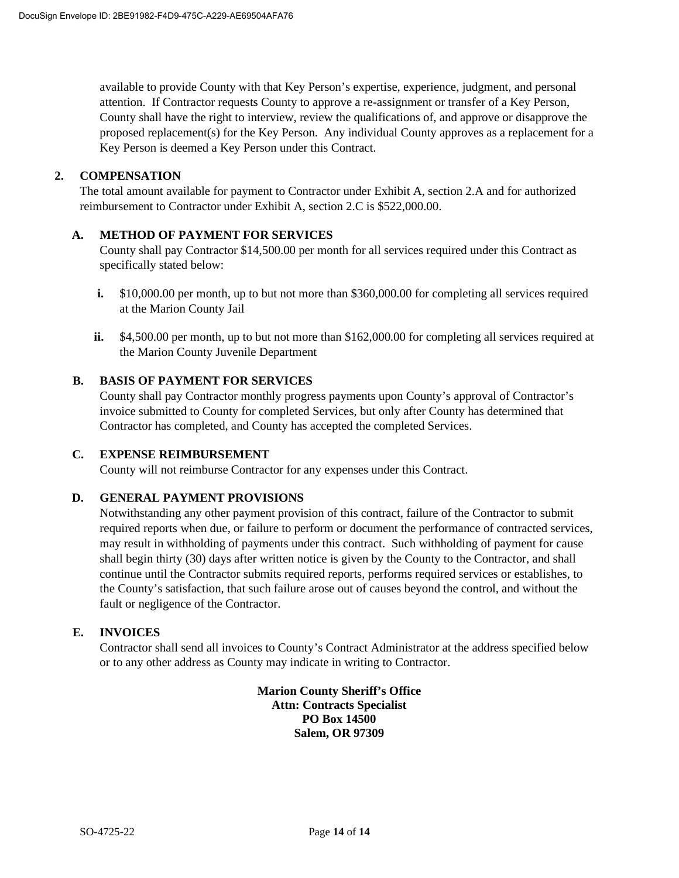available to provide County with that Key Person's expertise, experience, judgment, and personal attention. If Contractor requests County to approve a re-assignment or transfer of a Key Person, County shall have the right to interview, review the qualifications of, and approve or disapprove the proposed replacement(s) for the Key Person. Any individual County approves as a replacement for a Key Person is deemed a Key Person under this Contract.

### **2. COMPENSATION**

The total amount available for payment to Contractor under Exhibit A, section 2.A and for authorized reimbursement to Contractor under Exhibit A, section 2.C is \$522,000.00.

## **A. METHOD OF PAYMENT FOR SERVICES**

County shall pay Contractor \$14,500.00 per month for all services required under this Contract as specifically stated below:

- **i.** \$10,000.00 per month, up to but not more than \$360,000.00 for completing all services required at the Marion County Jail
- **ii.** \$4,500.00 per month, up to but not more than \$162,000.00 for completing all services required at the Marion County Juvenile Department

### **B. BASIS OF PAYMENT FOR SERVICES**

County shall pay Contractor monthly progress payments upon County's approval of Contractor's invoice submitted to County for completed Services, but only after County has determined that Contractor has completed, and County has accepted the completed Services.

### **C. EXPENSE REIMBURSEMENT**

County will not reimburse Contractor for any expenses under this Contract.

### **D. GENERAL PAYMENT PROVISIONS**

Notwithstanding any other payment provision of this contract, failure of the Contractor to submit required reports when due, or failure to perform or document the performance of contracted services, may result in withholding of payments under this contract. Such withholding of payment for cause shall begin thirty (30) days after written notice is given by the County to the Contractor, and shall continue until the Contractor submits required reports, performs required services or establishes, to the County's satisfaction, that such failure arose out of causes beyond the control, and without the fault or negligence of the Contractor.

### **E. INVOICES**

Contractor shall send all invoices to County's Contract Administrator at the address specified below or to any other address as County may indicate in writing to Contractor.

> **Marion County Sheriff's Office Attn: Contracts Specialist PO Box 14500 Salem, OR 97309**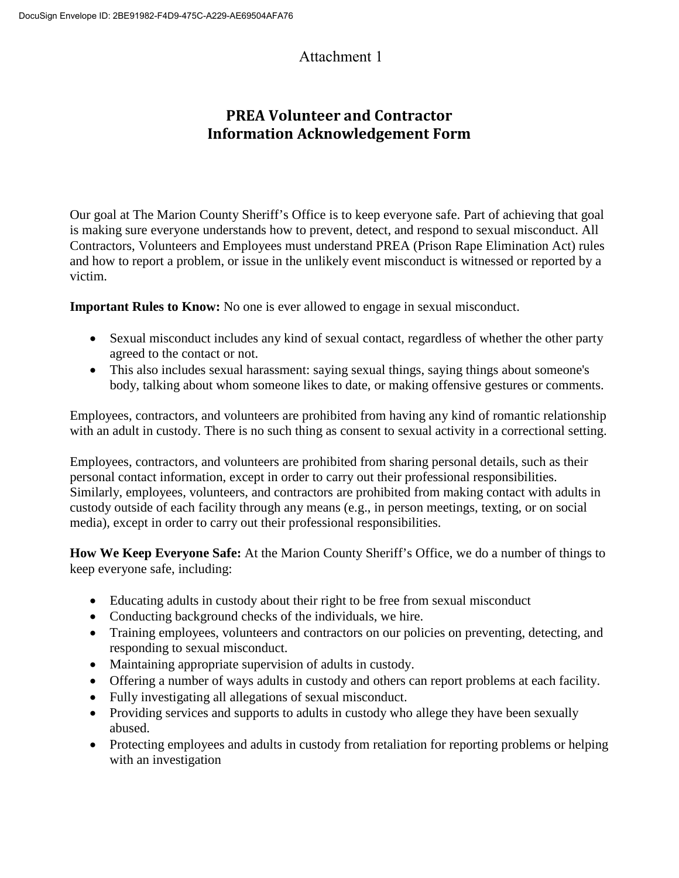# Attachment 1

# **PREA Volunteer and Contractor Information Acknowledgement Form**

Our goal at The Marion County Sheriff's Office is to keep everyone safe. Part of achieving that goal is making sure everyone understands how to prevent, detect, and respond to sexual misconduct. All Contractors, Volunteers and Employees must understand PREA (Prison Rape Elimination Act) rules and how to report a problem, or issue in the unlikely event misconduct is witnessed or reported by a victim.

**Important Rules to Know:** No one is ever allowed to engage in sexual misconduct.

- Sexual misconduct includes any kind of sexual contact, regardless of whether the other party agreed to the contact or not.
- This also includes sexual harassment: saying sexual things, saying things about someone's body, talking about whom someone likes to date, or making offensive gestures or comments.

Employees, contractors, and volunteers are prohibited from having any kind of romantic relationship with an adult in custody. There is no such thing as consent to sexual activity in a correctional setting.

Employees, contractors, and volunteers are prohibited from sharing personal details, such as their personal contact information, except in order to carry out their professional responsibilities. Similarly, employees, volunteers, and contractors are prohibited from making contact with adults in custody outside of each facility through any means (e.g., in person meetings, texting, or on social media), except in order to carry out their professional responsibilities.

**How We Keep Everyone Safe:** At the Marion County Sheriff's Office, we do a number of things to keep everyone safe, including:

- Educating adults in custody about their right to be free from sexual misconduct
- Conducting background checks of the individuals, we hire.
- Training employees, volunteers and contractors on our policies on preventing, detecting, and responding to sexual misconduct.
- Maintaining appropriate supervision of adults in custody.
- Offering a number of ways adults in custody and others can report problems at each facility.
- Fully investigating all allegations of sexual misconduct.
- Providing services and supports to adults in custody who allege they have been sexually abused.
- Protecting employees and adults in custody from retaliation for reporting problems or helping with an investigation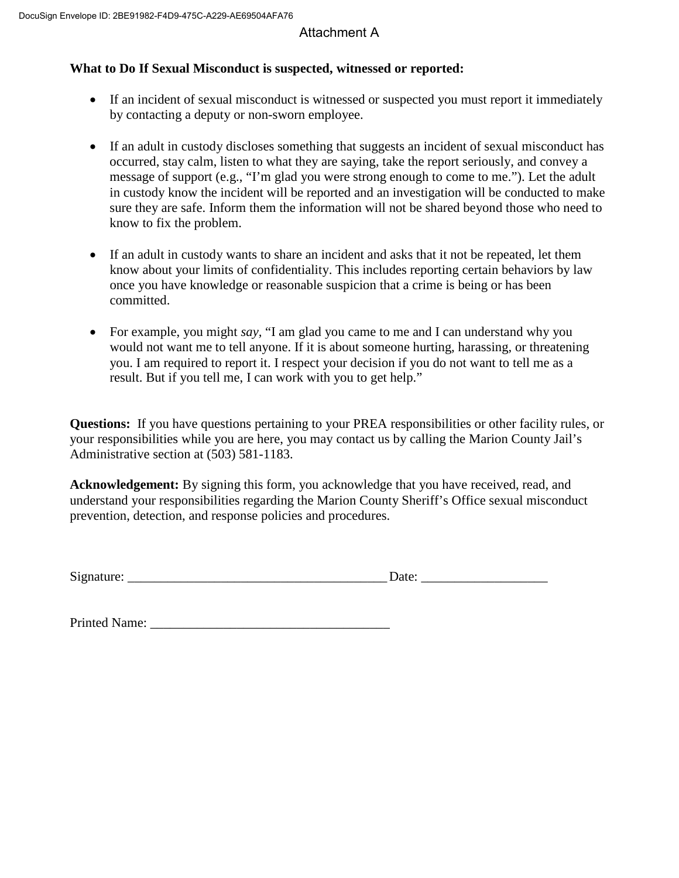# Attachment A

# **What to Do If Sexual Misconduct is suspected, witnessed or reported:**

- If an incident of sexual misconduct is witnessed or suspected you must report it immediately by contacting a deputy or non-sworn employee.
- If an adult in custody discloses something that suggests an incident of sexual misconduct has occurred, stay calm, listen to what they are saying, take the report seriously, and convey a message of support (e.g., "I'm glad you were strong enough to come to me."). Let the adult in custody know the incident will be reported and an investigation will be conducted to make sure they are safe. Inform them the information will not be shared beyond those who need to know to fix the problem.
- If an adult in custody wants to share an incident and asks that it not be repeated, let them know about your limits of confidentiality. This includes reporting certain behaviors by law once you have knowledge or reasonable suspicion that a crime is being or has been committed.
- For example, you might *say*, "I am glad you came to me and I can understand why you would not want me to tell anyone. If it is about someone hurting, harassing, or threatening you. I am required to report it. I respect your decision if you do not want to tell me as a result. But if you tell me, I can work with you to get help."

**Questions:** If you have questions pertaining to your PREA responsibilities or other facility rules, or your responsibilities while you are here, you may contact us by calling the Marion County Jail's Administrative section at (503) 581-1183.

**Acknowledgement:** By signing this form, you acknowledge that you have received, read, and understand your responsibilities regarding the Marion County Sheriff's Office sexual misconduct prevention, detection, and response policies and procedures.

Signature: \_\_\_\_\_\_\_\_\_\_\_\_\_\_\_\_\_\_\_\_\_\_\_\_\_\_\_\_\_\_\_\_\_\_\_\_\_\_\_ Date: \_\_\_\_\_\_\_\_\_\_\_\_\_\_\_\_\_\_\_

Printed Name: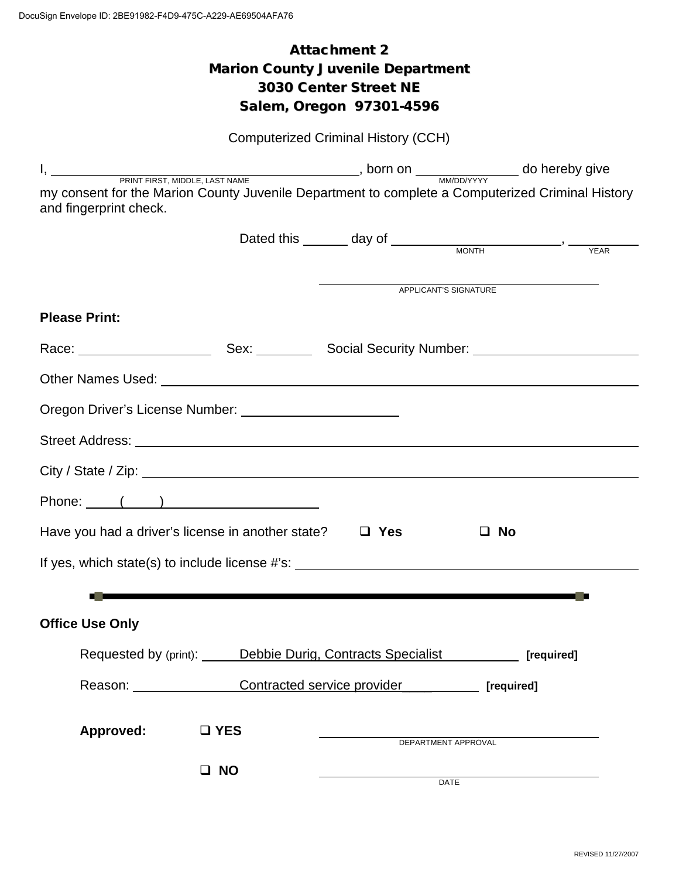# Attachment 2 Marion County Juvenile Department 3030 Center Street NE Salem, Oregon 97301-4596

|                                                                                                                            |                                                                     | <b>Computerized Criminal History (CCH)</b> |                                                                |  |
|----------------------------------------------------------------------------------------------------------------------------|---------------------------------------------------------------------|--------------------------------------------|----------------------------------------------------------------|--|
|                                                                                                                            |                                                                     |                                            |                                                                |  |
| my consent for the Marion County Juvenile Department to complete a Computerized Criminal History<br>and fingerprint check. |                                                                     |                                            |                                                                |  |
|                                                                                                                            |                                                                     |                                            | Dated this $\_\_\_\_$ day of $\_\_\_\_\_\_\$ MONTH $\_\_\_\_\$ |  |
|                                                                                                                            |                                                                     |                                            | <b>APPLICANT'S SIGNATURE</b>                                   |  |
| <b>Please Print:</b>                                                                                                       |                                                                     |                                            |                                                                |  |
|                                                                                                                            |                                                                     |                                            |                                                                |  |
|                                                                                                                            |                                                                     |                                            |                                                                |  |
| Oregon Driver's License Number: ___________________________                                                                |                                                                     |                                            |                                                                |  |
|                                                                                                                            |                                                                     |                                            |                                                                |  |
|                                                                                                                            |                                                                     |                                            |                                                                |  |
| Phone: ( )                                                                                                                 |                                                                     |                                            |                                                                |  |
| Have you had a driver's license in another state?                                                                          |                                                                     | $\Box$ Yes                                 | $\Box$ No                                                      |  |
| If yes, which state(s) to include license #'s: _________________________________                                           |                                                                     |                                            |                                                                |  |
|                                                                                                                            |                                                                     |                                            |                                                                |  |
| Office Use Only                                                                                                            |                                                                     |                                            |                                                                |  |
|                                                                                                                            | Requested by (print): Debbie Durig, Contracts Specialist [required] |                                            |                                                                |  |
|                                                                                                                            | Reason: Contracted service provider [required]                      |                                            |                                                                |  |
| Approved:                                                                                                                  | $\square$ YES                                                       |                                            |                                                                |  |
|                                                                                                                            |                                                                     |                                            | DEPARTMENT APPROVAL                                            |  |
|                                                                                                                            | $\square$ NO                                                        |                                            | <b>DATE</b>                                                    |  |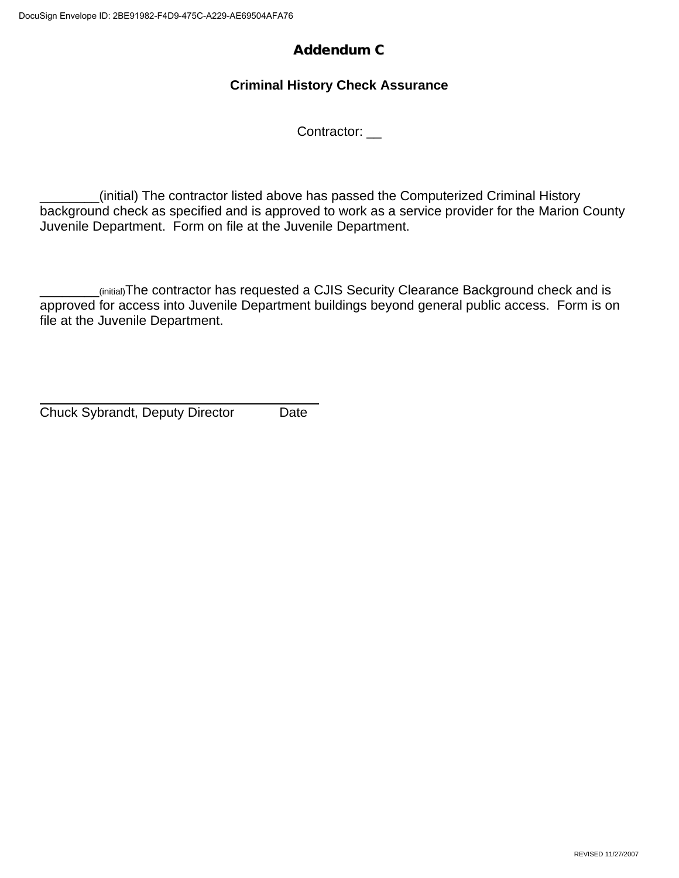# Addendum C

# **Criminal History Check Assurance**

Contractor:

\_\_\_\_\_\_\_\_(initial) The contractor listed above has passed the Computerized Criminal History background check as specified and is approved to work as a service provider for the Marion County Juvenile Department. Form on file at the Juvenile Department.

\_\_\_\_\_\_\_\_(initial)The contractor has requested a CJIS Security Clearance Background check and is approved for access into Juvenile Department buildings beyond general public access. Form is on file at the Juvenile Department.

Chuck Sybrandt, Deputy Director Date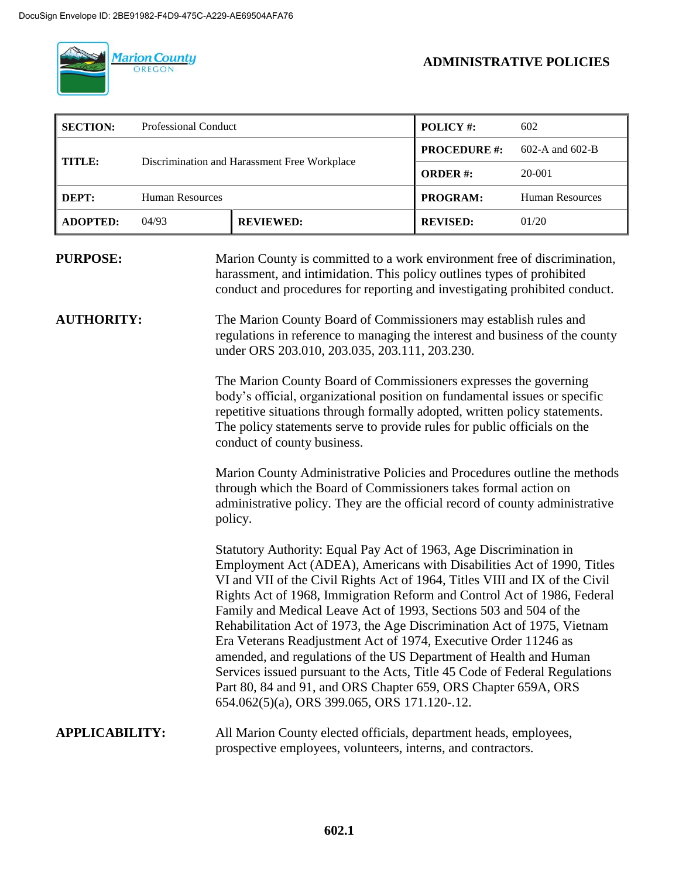

**ADMINISTRATIVE POLICIES**

| <b>SECTION:</b> | Professional Conduct                                          |                     | <b>POLICY#:</b>     | 602                    |
|-----------------|---------------------------------------------------------------|---------------------|---------------------|------------------------|
|                 |                                                               | <b>PROCEDURE #:</b> | $602-A$ and $602-B$ |                        |
|                 | Discrimination and Harassment Free Workplace<br><b>TITLE:</b> |                     | <b>ORDER#:</b>      | 20-001                 |
| DEPT:           | <b>Human Resources</b>                                        |                     | PROGRAM:            | <b>Human Resources</b> |
| <b>ADOPTED:</b> | 04/93                                                         | <b>REVIEWED:</b>    | <b>REVISED:</b>     | 01/20                  |

# **PURPOSE:** Marion County is committed to a work environment free of discrimination, harassment, and intimidation. This policy outlines types of prohibited conduct and procedures for reporting and investigating prohibited conduct.

**AUTHORITY:** The Marion County Board of Commissioners may establish rules and regulations in reference to managing the interest and business of the county under ORS 203.010, 203.035, 203.111, 203.230.

> The Marion County Board of Commissioners expresses the governing body's official, organizational position on fundamental issues or specific repetitive situations through formally adopted, written policy statements. The policy statements serve to provide rules for public officials on the conduct of county business.

Marion County Administrative Policies and Procedures outline the methods through which the Board of Commissioners takes formal action on administrative policy. They are the official record of county administrative policy.

Statutory Authority: Equal Pay Act of 1963, Age Discrimination in Employment Act (ADEA), Americans with Disabilities Act of 1990, Titles VI and VII of the Civil Rights Act of 1964, Titles VIII and IX of the Civil Rights Act of 1968, Immigration Reform and Control Act of 1986, Federal Family and Medical Leave Act of 1993, Sections 503 and 504 of the Rehabilitation Act of 1973, the Age Discrimination Act of 1975, Vietnam Era Veterans Readjustment Act of 1974, Executive Order 11246 as amended, and regulations of the US Department of Health and Human Services issued pursuant to the Acts, Title 45 Code of Federal Regulations Part 80, 84 and 91, and ORS Chapter 659, ORS Chapter 659A, ORS 654.062(5)(a), ORS 399.065, ORS 171.120-.12.

## **APPLICABILITY:** All Marion County elected officials, department heads, employees, prospective employees, volunteers, interns, and contractors.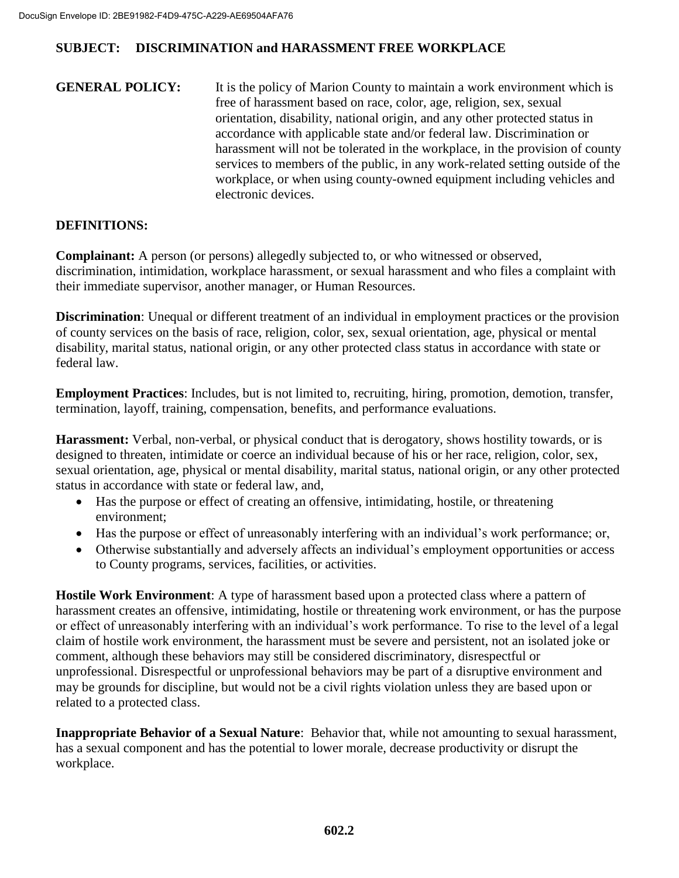**GENERAL POLICY:** It is the policy of Marion County to maintain a work environment which is free of harassment based on race, color, age, religion, sex, sexual orientation, disability, national origin, and any other protected status in accordance with applicable state and/or federal law. Discrimination or harassment will not be tolerated in the workplace, in the provision of county services to members of the public, in any work-related setting outside of the workplace, or when using county-owned equipment including vehicles and electronic devices.

# **DEFINITIONS:**

**Complainant:** A person (or persons) allegedly subjected to, or who witnessed or observed, discrimination, intimidation, workplace harassment, or sexual harassment and who files a complaint with their immediate supervisor, another manager, or Human Resources.

**Discrimination**: Unequal or different treatment of an individual in employment practices or the provision of county services on the basis of race, religion, color, sex, sexual orientation, age, physical or mental disability, marital status, national origin, or any other protected class status in accordance with state or federal law.

**Employment Practices**: Includes, but is not limited to, recruiting, hiring, promotion, demotion, transfer, termination, layoff, training, compensation, benefits, and performance evaluations.

**Harassment:** Verbal, non-verbal, or physical conduct that is derogatory, shows hostility towards, or is designed to threaten, intimidate or coerce an individual because of his or her race, religion, color, sex, sexual orientation, age, physical or mental disability, marital status, national origin, or any other protected status in accordance with state or federal law, and,

- Has the purpose or effect of creating an offensive, intimidating, hostile, or threatening environment;
- Has the purpose or effect of unreasonably interfering with an individual's work performance; or,
- Otherwise substantially and adversely affects an individual's employment opportunities or access to County programs, services, facilities, or activities.

**Hostile Work Environment**: A type of harassment based upon a protected class where a pattern of harassment creates an offensive, intimidating, hostile or threatening work environment, or has the purpose or effect of unreasonably interfering with an individual's work performance. To rise to the level of a legal claim of hostile work environment, the harassment must be severe and persistent, not an isolated joke or comment, although these behaviors may still be considered discriminatory, disrespectful or unprofessional. Disrespectful or unprofessional behaviors may be part of a disruptive environment and may be grounds for discipline, but would not be a civil rights violation unless they are based upon or related to a protected class.

**Inappropriate Behavior of a Sexual Nature**: Behavior that, while not amounting to sexual harassment, has a sexual component and has the potential to lower morale, decrease productivity or disrupt the workplace.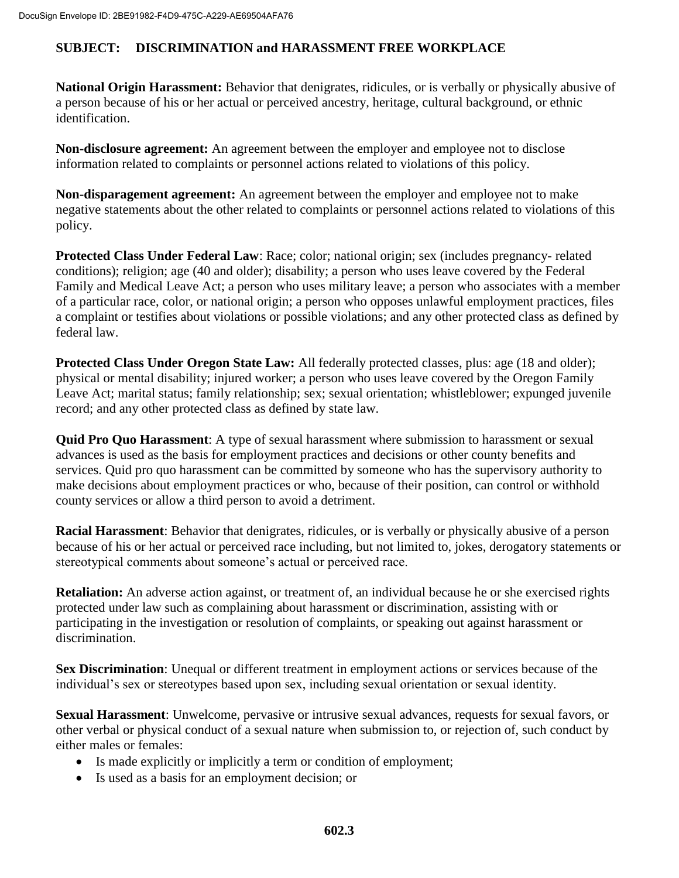**National Origin Harassment:** Behavior that denigrates, ridicules, or is verbally or physically abusive of a person because of his or her actual or perceived ancestry, heritage, cultural background, or ethnic identification.

**Non-disclosure agreement:** An agreement between the employer and employee not to disclose information related to complaints or personnel actions related to violations of this policy.

**Non-disparagement agreement:** An agreement between the employer and employee not to make negative statements about the other related to complaints or personnel actions related to violations of this policy.

**Protected Class Under Federal Law**: Race; color; national origin; sex (includes pregnancy- related conditions); religion; age (40 and older); disability; a person who uses leave covered by the Federal Family and Medical Leave Act; a person who uses military leave; a person who associates with a member of a particular race, color, or national origin; a person who opposes unlawful employment practices, files a complaint or testifies about violations or possible violations; and any other protected class as defined by federal law.

**Protected Class Under Oregon State Law:** All federally protected classes, plus: age (18 and older); physical or mental disability; injured worker; a person who uses leave covered by the Oregon Family Leave Act; marital status; family relationship; sex; sexual orientation; whistleblower; expunged juvenile record; and any other protected class as defined by state law.

**Quid Pro Quo Harassment**: A type of sexual harassment where submission to harassment or sexual advances is used as the basis for employment practices and decisions or other county benefits and services. Quid pro quo harassment can be committed by someone who has the supervisory authority to make decisions about employment practices or who, because of their position, can control or withhold county services or allow a third person to avoid a detriment.

**Racial Harassment**: Behavior that denigrates, ridicules, or is verbally or physically abusive of a person because of his or her actual or perceived race including, but not limited to, jokes, derogatory statements or stereotypical comments about someone's actual or perceived race.

**Retaliation:** An adverse action against, or treatment of, an individual because he or she exercised rights protected under law such as complaining about harassment or discrimination, assisting with or participating in the investigation or resolution of complaints, or speaking out against harassment or discrimination.

**Sex Discrimination**: Unequal or different treatment in employment actions or services because of the individual's sex or stereotypes based upon sex, including sexual orientation or sexual identity.

**Sexual Harassment**: Unwelcome, pervasive or intrusive sexual advances, requests for sexual favors, or other verbal or physical conduct of a sexual nature when submission to, or rejection of, such conduct by either males or females:

- Is made explicitly or implicitly a term or condition of employment;
- Is used as a basis for an employment decision; or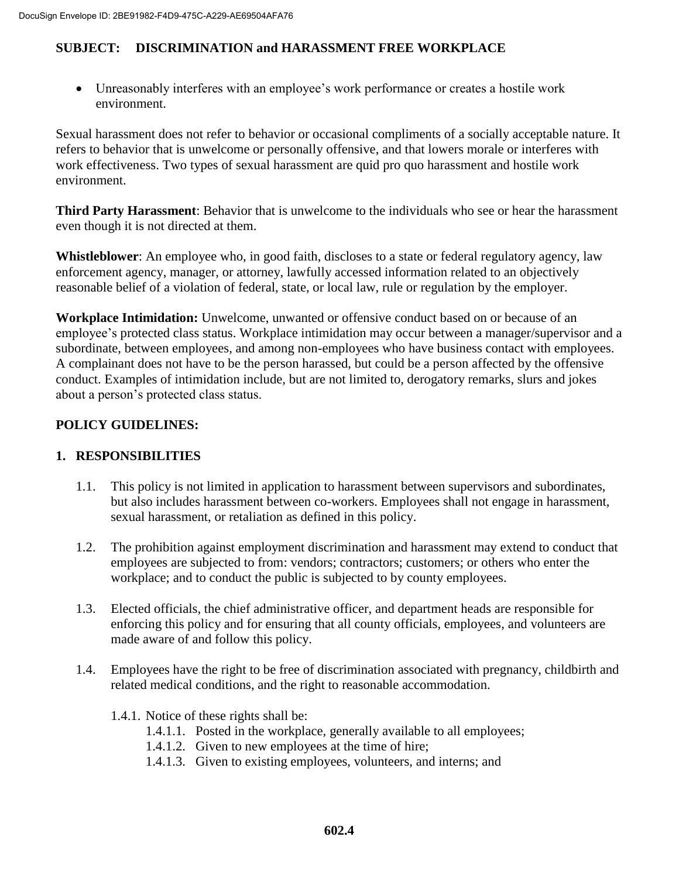Unreasonably interferes with an employee's work performance or creates a hostile work environment.

Sexual harassment does not refer to behavior or occasional compliments of a socially acceptable nature. It refers to behavior that is unwelcome or personally offensive, and that lowers morale or interferes with work effectiveness. Two types of sexual harassment are quid pro quo harassment and hostile work environment.

**Third Party Harassment**: Behavior that is unwelcome to the individuals who see or hear the harassment even though it is not directed at them.

**Whistleblower**: An employee who, in good faith, discloses to a state or federal regulatory agency, law enforcement agency, manager, or attorney, lawfully accessed information related to an objectively reasonable belief of a violation of federal, state, or local law, rule or regulation by the employer.

**Workplace Intimidation:** Unwelcome, unwanted or offensive conduct based on or because of an employee's protected class status. Workplace intimidation may occur between a manager/supervisor and a subordinate, between employees, and among non-employees who have business contact with employees. A complainant does not have to be the person harassed, but could be a person affected by the offensive conduct. Examples of intimidation include, but are not limited to, derogatory remarks, slurs and jokes about a person's protected class status.

## **POLICY GUIDELINES:**

## **1. RESPONSIBILITIES**

- 1.1. This policy is not limited in application to harassment between supervisors and subordinates, but also includes harassment between co-workers. Employees shall not engage in harassment, sexual harassment, or retaliation as defined in this policy.
- 1.2. The prohibition against employment discrimination and harassment may extend to conduct that employees are subjected to from: vendors; contractors; customers; or others who enter the workplace; and to conduct the public is subjected to by county employees.
- 1.3. Elected officials, the chief administrative officer, and department heads are responsible for enforcing this policy and for ensuring that all county officials, employees, and volunteers are made aware of and follow this policy.
- 1.4. Employees have the right to be free of discrimination associated with pregnancy, childbirth and related medical conditions, and the right to reasonable accommodation.
	- 1.4.1. Notice of these rights shall be:
		- 1.4.1.1. Posted in the workplace, generally available to all employees;
		- 1.4.1.2. Given to new employees at the time of hire;
		- 1.4.1.3. Given to existing employees, volunteers, and interns; and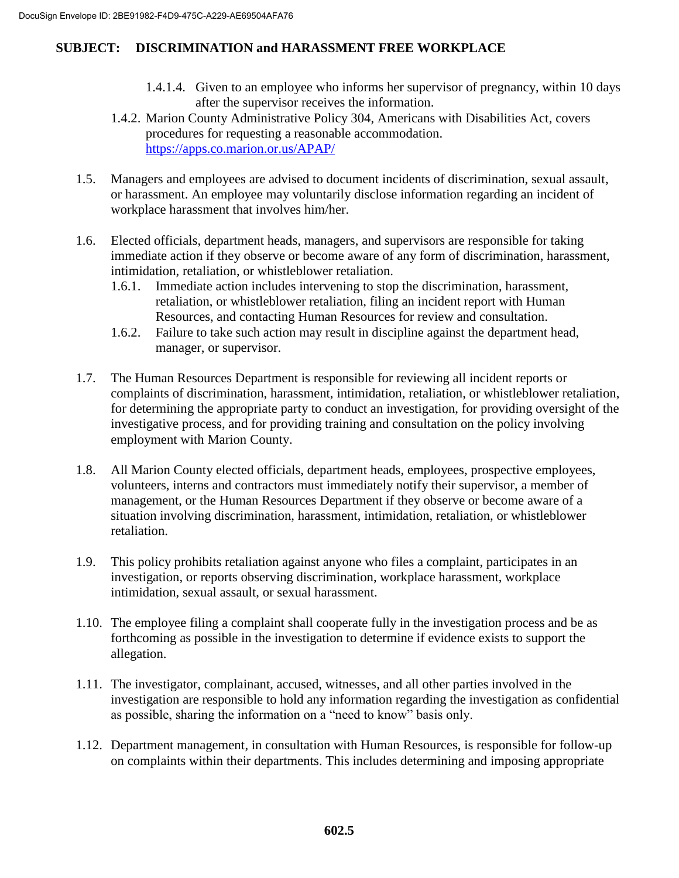- 1.4.1.4. Given to an employee who informs her supervisor of pregnancy, within 10 days after the supervisor receives the information.
- 1.4.2. Marion County Administrative Policy 304, Americans with Disabilities Act, covers procedures for requesting a reasonable accommodation. <https://apps.co.marion.or.us/APAP/>
- 1.5. Managers and employees are advised to document incidents of discrimination, sexual assault, or harassment. An employee may voluntarily disclose information regarding an incident of workplace harassment that involves him/her.
- 1.6. Elected officials, department heads, managers, and supervisors are responsible for taking immediate action if they observe or become aware of any form of discrimination, harassment, intimidation, retaliation, or whistleblower retaliation.
	- 1.6.1. Immediate action includes intervening to stop the discrimination, harassment, retaliation, or whistleblower retaliation, filing an incident report with Human Resources, and contacting Human Resources for review and consultation.
	- 1.6.2. Failure to take such action may result in discipline against the department head, manager, or supervisor.
- 1.7. The Human Resources Department is responsible for reviewing all incident reports or complaints of discrimination, harassment, intimidation, retaliation, or whistleblower retaliation, for determining the appropriate party to conduct an investigation, for providing oversight of the investigative process, and for providing training and consultation on the policy involving employment with Marion County.
- 1.8. All Marion County elected officials, department heads, employees, prospective employees, volunteers, interns and contractors must immediately notify their supervisor, a member of management, or the Human Resources Department if they observe or become aware of a situation involving discrimination, harassment, intimidation, retaliation, or whistleblower retaliation.
- 1.9. This policy prohibits retaliation against anyone who files a complaint, participates in an investigation, or reports observing discrimination, workplace harassment, workplace intimidation, sexual assault, or sexual harassment.
- 1.10. The employee filing a complaint shall cooperate fully in the investigation process and be as forthcoming as possible in the investigation to determine if evidence exists to support the allegation.
- 1.11. The investigator, complainant, accused, witnesses, and all other parties involved in the investigation are responsible to hold any information regarding the investigation as confidential as possible, sharing the information on a "need to know" basis only.
- 1.12. Department management, in consultation with Human Resources, is responsible for follow-up on complaints within their departments. This includes determining and imposing appropriate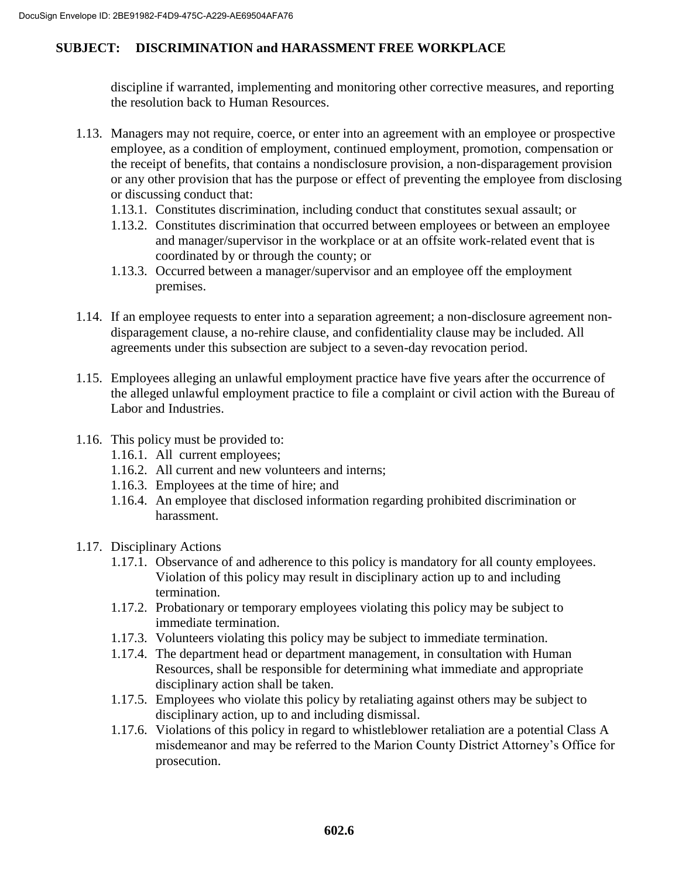discipline if warranted, implementing and monitoring other corrective measures, and reporting the resolution back to Human Resources.

- 1.13. Managers may not require, coerce, or enter into an agreement with an employee or prospective employee, as a condition of employment, continued employment, promotion, compensation or the receipt of benefits, that contains a nondisclosure provision, a non-disparagement provision or any other provision that has the purpose or effect of preventing the employee from disclosing or discussing conduct that:
	- 1.13.1. Constitutes discrimination, including conduct that constitutes sexual assault; or
	- 1.13.2. Constitutes discrimination that occurred between employees or between an employee and manager/supervisor in the workplace or at an offsite work-related event that is coordinated by or through the county; or
	- 1.13.3. Occurred between a manager/supervisor and an employee off the employment premises.
- 1.14. If an employee requests to enter into a separation agreement; a non-disclosure agreement nondisparagement clause, a no-rehire clause, and confidentiality clause may be included. All agreements under this subsection are subject to a seven-day revocation period.
- 1.15. Employees alleging an unlawful employment practice have five years after the occurrence of the alleged unlawful employment practice to file a complaint or civil action with the Bureau of Labor and Industries.
- 1.16. This policy must be provided to:
	- 1.16.1. All current employees;
	- 1.16.2. All current and new volunteers and interns;
	- 1.16.3. Employees at the time of hire; and
	- 1.16.4. An employee that disclosed information regarding prohibited discrimination or harassment.
- 1.17. Disciplinary Actions
	- 1.17.1. Observance of and adherence to this policy is mandatory for all county employees. Violation of this policy may result in disciplinary action up to and including termination.
	- 1.17.2. Probationary or temporary employees violating this policy may be subject to immediate termination.
	- 1.17.3. Volunteers violating this policy may be subject to immediate termination.
	- 1.17.4. The department head or department management, in consultation with Human Resources, shall be responsible for determining what immediate and appropriate disciplinary action shall be taken.
	- 1.17.5. Employees who violate this policy by retaliating against others may be subject to disciplinary action, up to and including dismissal.
	- 1.17.6. Violations of this policy in regard to whistleblower retaliation are a potential Class A misdemeanor and may be referred to the Marion County District Attorney's Office for prosecution.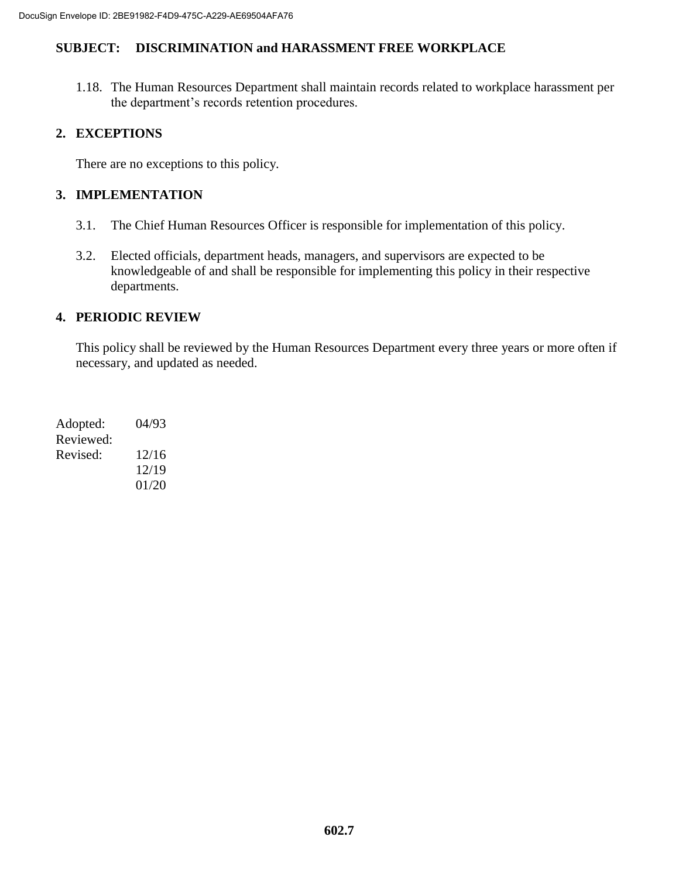1.18. The Human Resources Department shall maintain records related to workplace harassment per the department's records retention procedures.

## **2. EXCEPTIONS**

There are no exceptions to this policy.

## **3. IMPLEMENTATION**

- 3.1. The Chief Human Resources Officer is responsible for implementation of this policy.
- 3.2. Elected officials, department heads, managers, and supervisors are expected to be knowledgeable of and shall be responsible for implementing this policy in their respective departments.

## **4. PERIODIC REVIEW**

This policy shall be reviewed by the Human Resources Department every three years or more often if necessary, and updated as needed.

| Adopted:  | 04/93 |
|-----------|-------|
| Reviewed: |       |
| Revised:  | 12/16 |
|           | 12/19 |
|           | 01/20 |
|           |       |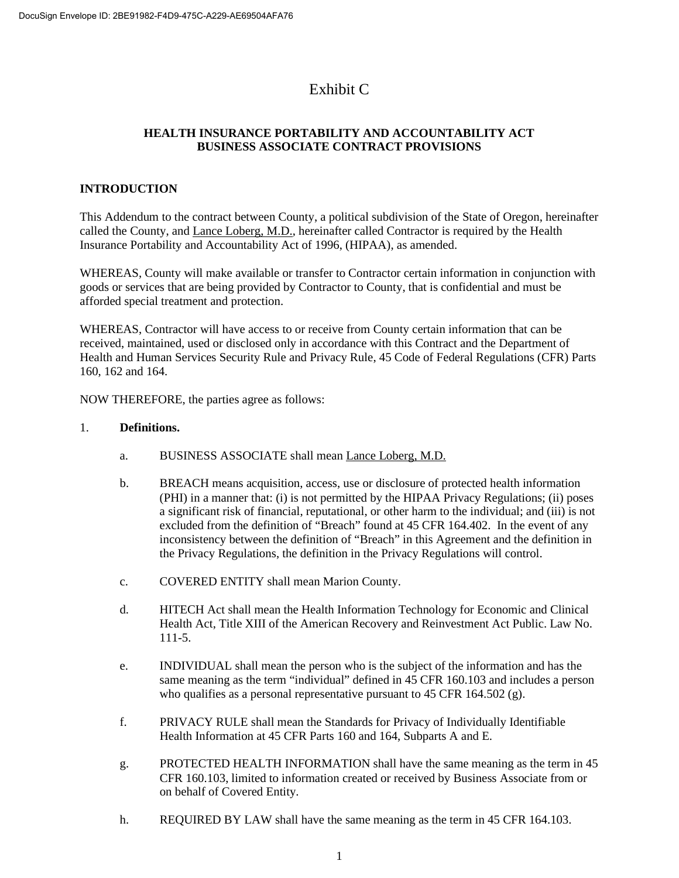# Exhibit C

## **HEALTH INSURANCE PORTABILITY AND ACCOUNTABILITY ACT BUSINESS ASSOCIATE CONTRACT PROVISIONS**

## **INTRODUCTION**

This Addendum to the contract between County, a political subdivision of the State of Oregon, hereinafter called the County, and Lance Loberg, M.D., hereinafter called Contractor is required by the Health Insurance Portability and Accountability Act of 1996, (HIPAA), as amended.

WHEREAS, County will make available or transfer to Contractor certain information in conjunction with goods or services that are being provided by Contractor to County, that is confidential and must be afforded special treatment and protection.

WHEREAS, Contractor will have access to or receive from County certain information that can be received, maintained, used or disclosed only in accordance with this Contract and the Department of Health and Human Services Security Rule and Privacy Rule, 45 Code of Federal Regulations (CFR) Parts 160, 162 and 164.

NOW THEREFORE, the parties agree as follows:

### 1. **Definitions.**

- a. BUSINESS ASSOCIATE shall mean Lance Loberg, M.D.
- b. BREACH means acquisition, access, use or disclosure of protected health information (PHI) in a manner that: (i) is not permitted by the HIPAA Privacy Regulations; (ii) poses a significant risk of financial, reputational, or other harm to the individual; and (iii) is not excluded from the definition of "Breach" found at 45 CFR 164.402. In the event of any inconsistency between the definition of "Breach" in this Agreement and the definition in the Privacy Regulations, the definition in the Privacy Regulations will control.
- c. COVERED ENTITY shall mean Marion County.
- d. HITECH Act shall mean the Health Information Technology for Economic and Clinical Health Act, Title XIII of the American Recovery and Reinvestment Act Public. Law No. 111-5.
- e. INDIVIDUAL shall mean the person who is the subject of the information and has the same meaning as the term "individual" defined in 45 CFR 160.103 and includes a person who qualifies as a personal representative pursuant to 45 CFR 164.502 (g).
- f. PRIVACY RULE shall mean the Standards for Privacy of Individually Identifiable Health Information at 45 CFR Parts 160 and 164, Subparts A and E.
- g. PROTECTED HEALTH INFORMATION shall have the same meaning as the term in 45 CFR 160.103, limited to information created or received by Business Associate from or on behalf of Covered Entity.
- h. REQUIRED BY LAW shall have the same meaning as the term in 45 CFR 164.103.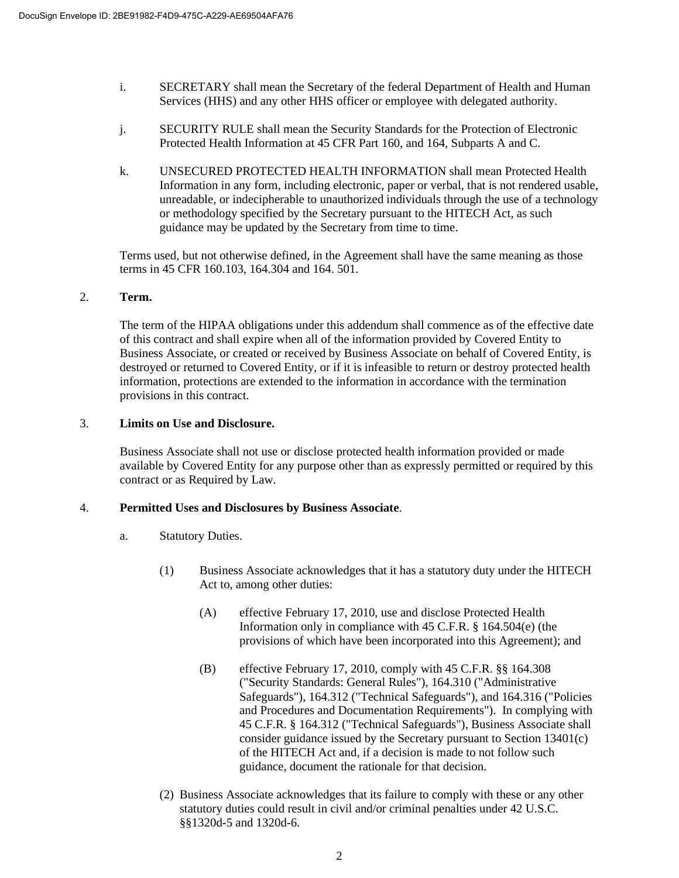- i. SECRETARY shall mean the Secretary of the federal Department of Health and Human Services (HHS) and any other HHS officer or employee with delegated authority.
- j. SECURITY RULE shall mean the Security Standards for the Protection of Electronic Protected Health Information at 45 CFR Part 160, and 164, Subparts A and C.
- k. UNSECURED PROTECTED HEALTH INFORMATION shall mean Protected Health Information in any form, including electronic, paper or verbal, that is not rendered usable, unreadable, or indecipherable to unauthorized individuals through the use of a technology or methodology specified by the Secretary pursuant to the HITECH Act, as such guidance may be updated by the Secretary from time to time.

Terms used, but not otherwise defined, in the Agreement shall have the same meaning as those terms in 45 CFR 160.103, 164.304 and 164. 501.

#### 2. **Term.**

The term of the HIPAA obligations under this addendum shall commence as of the effective date of this contract and shall expire when all of the information provided by Covered Entity to Business Associate, or created or received by Business Associate on behalf of Covered Entity, is destroyed or returned to Covered Entity, or if it is infeasible to return or destroy protected health information, protections are extended to the information in accordance with the termination provisions in this contract.

### 3. **Limits on Use and Disclosure.**

Business Associate shall not use or disclose protected health information provided or made available by Covered Entity for any purpose other than as expressly permitted or required by this contract or as Required by Law.

### 4. **Permitted Uses and Disclosures by Business Associate**.

- a. Statutory Duties.
	- (1) Business Associate acknowledges that it has a statutory duty under the HITECH Act to, among other duties:
		- (A) effective February 17, 2010, use and disclose Protected Health Information only in compliance with 45 C.F.R. § 164.504(e) (the provisions of which have been incorporated into this Agreement); and
		- (B) effective February 17, 2010, comply with 45 C.F.R. §§ 164.308 ("Security Standards: General Rules"), 164.310 ("Administrative Safeguards"), 164.312 ("Technical Safeguards"), and 164.316 ("Policies and Procedures and Documentation Requirements"). In complying with 45 C.F.R. § 164.312 ("Technical Safeguards"), Business Associate shall consider guidance issued by the Secretary pursuant to Section 13401(c) of the HITECH Act and, if a decision is made to not follow such guidance, document the rationale for that decision.
	- (2) Business Associate acknowledges that its failure to comply with these or any other statutory duties could result in civil and/or criminal penalties under 42 U.S.C. §§1320d-5 and 1320d-6.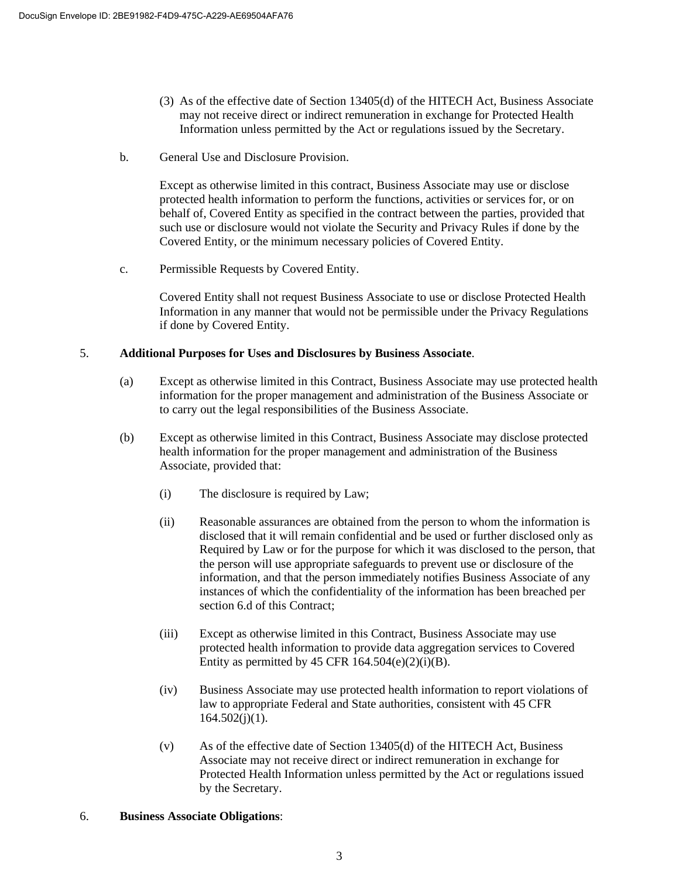- (3) As of the effective date of Section 13405(d) of the HITECH Act, Business Associate may not receive direct or indirect remuneration in exchange for Protected Health Information unless permitted by the Act or regulations issued by the Secretary.
- b. General Use and Disclosure Provision.

Except as otherwise limited in this contract, Business Associate may use or disclose protected health information to perform the functions, activities or services for, or on behalf of, Covered Entity as specified in the contract between the parties, provided that such use or disclosure would not violate the Security and Privacy Rules if done by the Covered Entity, or the minimum necessary policies of Covered Entity.

c. Permissible Requests by Covered Entity.

Covered Entity shall not request Business Associate to use or disclose Protected Health Information in any manner that would not be permissible under the Privacy Regulations if done by Covered Entity.

### 5. **Additional Purposes for Uses and Disclosures by Business Associate**.

- (a) Except as otherwise limited in this Contract, Business Associate may use protected health information for the proper management and administration of the Business Associate or to carry out the legal responsibilities of the Business Associate.
- (b) Except as otherwise limited in this Contract, Business Associate may disclose protected health information for the proper management and administration of the Business Associate, provided that:
	- (i) The disclosure is required by Law;
	- (ii) Reasonable assurances are obtained from the person to whom the information is disclosed that it will remain confidential and be used or further disclosed only as Required by Law or for the purpose for which it was disclosed to the person, that the person will use appropriate safeguards to prevent use or disclosure of the information, and that the person immediately notifies Business Associate of any instances of which the confidentiality of the information has been breached per section 6.d of this Contract;
	- (iii) Except as otherwise limited in this Contract, Business Associate may use protected health information to provide data aggregation services to Covered Entity as permitted by 45 CFR  $164.504(e)(2)(i)(B)$ .
	- (iv) Business Associate may use protected health information to report violations of law to appropriate Federal and State authorities, consistent with 45 CFR  $164.502(j)(1)$ .
	- (v) As of the effective date of Section 13405(d) of the HITECH Act, Business Associate may not receive direct or indirect remuneration in exchange for Protected Health Information unless permitted by the Act or regulations issued by the Secretary.

### 6. **Business Associate Obligations**: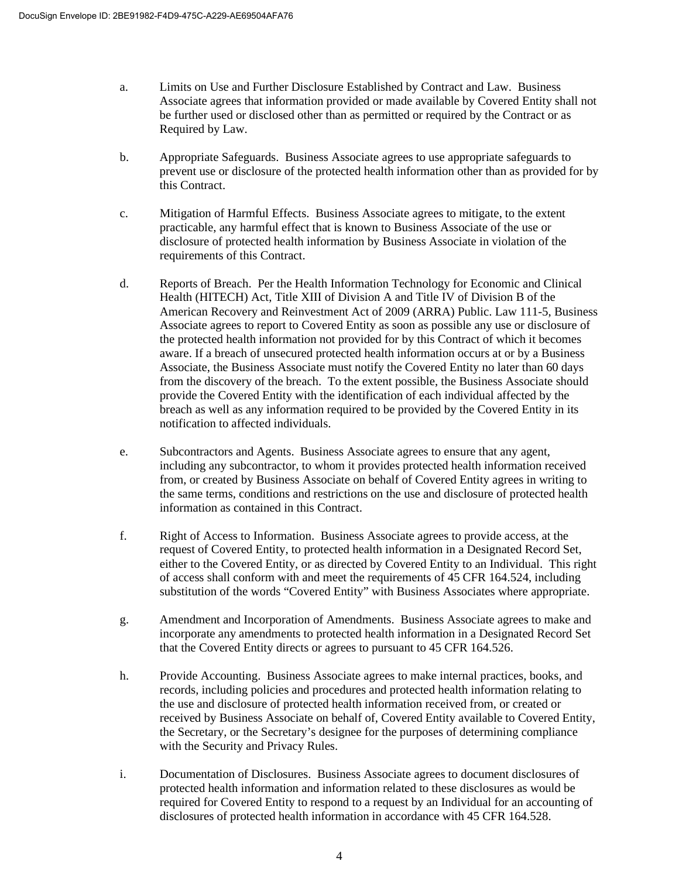- a. Limits on Use and Further Disclosure Established by Contract and Law. Business Associate agrees that information provided or made available by Covered Entity shall not be further used or disclosed other than as permitted or required by the Contract or as Required by Law.
- b. Appropriate Safeguards. Business Associate agrees to use appropriate safeguards to prevent use or disclosure of the protected health information other than as provided for by this Contract.
- c. Mitigation of Harmful Effects. Business Associate agrees to mitigate, to the extent practicable, any harmful effect that is known to Business Associate of the use or disclosure of protected health information by Business Associate in violation of the requirements of this Contract.
- d. Reports of Breach. Per the Health Information Technology for Economic and Clinical Health (HITECH) Act, Title XIII of Division A and Title IV of Division B of the American Recovery and Reinvestment Act of 2009 (ARRA) Public. Law 111-5, Business Associate agrees to report to Covered Entity as soon as possible any use or disclosure of the protected health information not provided for by this Contract of which it becomes aware. If a breach of unsecured protected health information occurs at or by a Business Associate, the Business Associate must notify the Covered Entity no later than 60 days from the discovery of the breach. To the extent possible, the Business Associate should provide the Covered Entity with the identification of each individual affected by the breach as well as any information required to be provided by the Covered Entity in its notification to affected individuals.
- e. Subcontractors and Agents. Business Associate agrees to ensure that any agent, including any subcontractor, to whom it provides protected health information received from, or created by Business Associate on behalf of Covered Entity agrees in writing to the same terms, conditions and restrictions on the use and disclosure of protected health information as contained in this Contract.
- f. Right of Access to Information. Business Associate agrees to provide access, at the request of Covered Entity, to protected health information in a Designated Record Set, either to the Covered Entity, or as directed by Covered Entity to an Individual. This right of access shall conform with and meet the requirements of 45 CFR 164.524, including substitution of the words "Covered Entity" with Business Associates where appropriate.
- g. Amendment and Incorporation of Amendments. Business Associate agrees to make and incorporate any amendments to protected health information in a Designated Record Set that the Covered Entity directs or agrees to pursuant to 45 CFR 164.526.
- h. Provide Accounting. Business Associate agrees to make internal practices, books, and records, including policies and procedures and protected health information relating to the use and disclosure of protected health information received from, or created or received by Business Associate on behalf of, Covered Entity available to Covered Entity, the Secretary, or the Secretary's designee for the purposes of determining compliance with the Security and Privacy Rules.
- i. Documentation of Disclosures. Business Associate agrees to document disclosures of protected health information and information related to these disclosures as would be required for Covered Entity to respond to a request by an Individual for an accounting of disclosures of protected health information in accordance with 45 CFR 164.528.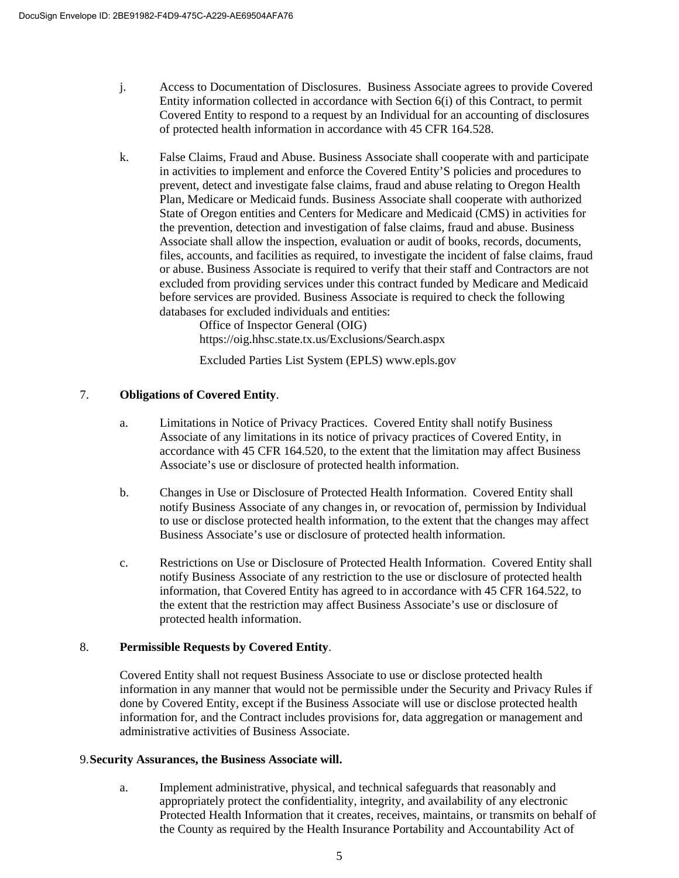- j. Access to Documentation of Disclosures. Business Associate agrees to provide Covered Entity information collected in accordance with Section 6(i) of this Contract, to permit Covered Entity to respond to a request by an Individual for an accounting of disclosures of protected health information in accordance with 45 CFR 164.528.
- k. False Claims, Fraud and Abuse. Business Associate shall cooperate with and participate in activities to implement and enforce the Covered Entity'S policies and procedures to prevent, detect and investigate false claims, fraud and abuse relating to Oregon Health Plan, Medicare or Medicaid funds. Business Associate shall cooperate with authorized State of Oregon entities and Centers for Medicare and Medicaid (CMS) in activities for the prevention, detection and investigation of false claims, fraud and abuse. Business Associate shall allow the inspection, evaluation or audit of books, records, documents, files, accounts, and facilities as required, to investigate the incident of false claims, fraud or abuse. Business Associate is required to verify that their staff and Contractors are not excluded from providing services under this contract funded by Medicare and Medicaid before services are provided. Business Associate is required to check the following databases for excluded individuals and entities:

Office of Inspector General (OIG) https://oig.hhsc.state.tx.us/Exclusions/Search.aspx

Excluded Parties List System (EPLS) www.epls.gov

## 7. **Obligations of Covered Entity**.

- a. Limitations in Notice of Privacy Practices. Covered Entity shall notify Business Associate of any limitations in its notice of privacy practices of Covered Entity, in accordance with 45 CFR 164.520, to the extent that the limitation may affect Business Associate's use or disclosure of protected health information.
- b. Changes in Use or Disclosure of Protected Health Information. Covered Entity shall notify Business Associate of any changes in, or revocation of, permission by Individual to use or disclose protected health information, to the extent that the changes may affect Business Associate's use or disclosure of protected health information.
- c. Restrictions on Use or Disclosure of Protected Health Information. Covered Entity shall notify Business Associate of any restriction to the use or disclosure of protected health information, that Covered Entity has agreed to in accordance with 45 CFR 164.522, to the extent that the restriction may affect Business Associate's use or disclosure of protected health information.

## 8. **Permissible Requests by Covered Entity**.

Covered Entity shall not request Business Associate to use or disclose protected health information in any manner that would not be permissible under the Security and Privacy Rules if done by Covered Entity, except if the Business Associate will use or disclose protected health information for, and the Contract includes provisions for, data aggregation or management and administrative activities of Business Associate.

## 9.**Security Assurances, the Business Associate will.**

a. Implement administrative, physical, and technical safeguards that reasonably and appropriately protect the confidentiality, integrity, and availability of any electronic Protected Health Information that it creates, receives, maintains, or transmits on behalf of the County as required by the Health Insurance Portability and Accountability Act of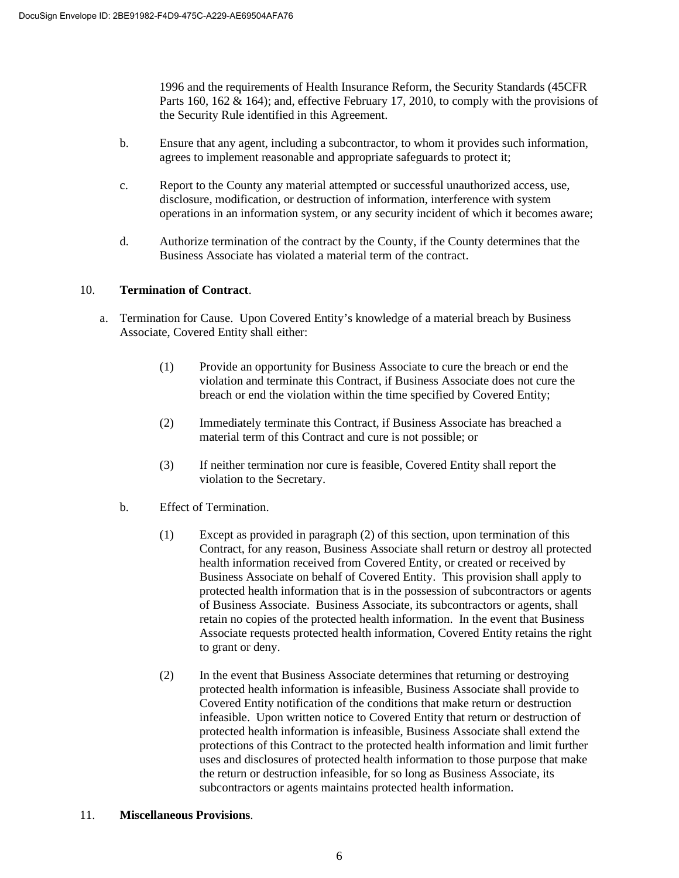1996 and the requirements of Health Insurance Reform, the Security Standards (45CFR Parts 160, 162 & 164); and, effective February 17, 2010, to comply with the provisions of the Security Rule identified in this Agreement.

- b. Ensure that any agent, including a subcontractor, to whom it provides such information, agrees to implement reasonable and appropriate safeguards to protect it;
- c. Report to the County any material attempted or successful unauthorized access, use, disclosure, modification, or destruction of information, interference with system operations in an information system, or any security incident of which it becomes aware;
- d. Authorize termination of the contract by the County, if the County determines that the Business Associate has violated a material term of the contract.

### 10. **Termination of Contract**.

- a. Termination for Cause. Upon Covered Entity's knowledge of a material breach by Business Associate, Covered Entity shall either:
	- (1) Provide an opportunity for Business Associate to cure the breach or end the violation and terminate this Contract, if Business Associate does not cure the breach or end the violation within the time specified by Covered Entity;
	- (2) Immediately terminate this Contract, if Business Associate has breached a material term of this Contract and cure is not possible; or
	- (3) If neither termination nor cure is feasible, Covered Entity shall report the violation to the Secretary.
	- b. Effect of Termination.
		- (1) Except as provided in paragraph (2) of this section, upon termination of this Contract, for any reason, Business Associate shall return or destroy all protected health information received from Covered Entity, or created or received by Business Associate on behalf of Covered Entity. This provision shall apply to protected health information that is in the possession of subcontractors or agents of Business Associate. Business Associate, its subcontractors or agents, shall retain no copies of the protected health information. In the event that Business Associate requests protected health information, Covered Entity retains the right to grant or deny.
		- (2) In the event that Business Associate determines that returning or destroying protected health information is infeasible, Business Associate shall provide to Covered Entity notification of the conditions that make return or destruction infeasible. Upon written notice to Covered Entity that return or destruction of protected health information is infeasible, Business Associate shall extend the protections of this Contract to the protected health information and limit further uses and disclosures of protected health information to those purpose that make the return or destruction infeasible, for so long as Business Associate, its subcontractors or agents maintains protected health information.

#### 11. **Miscellaneous Provisions**.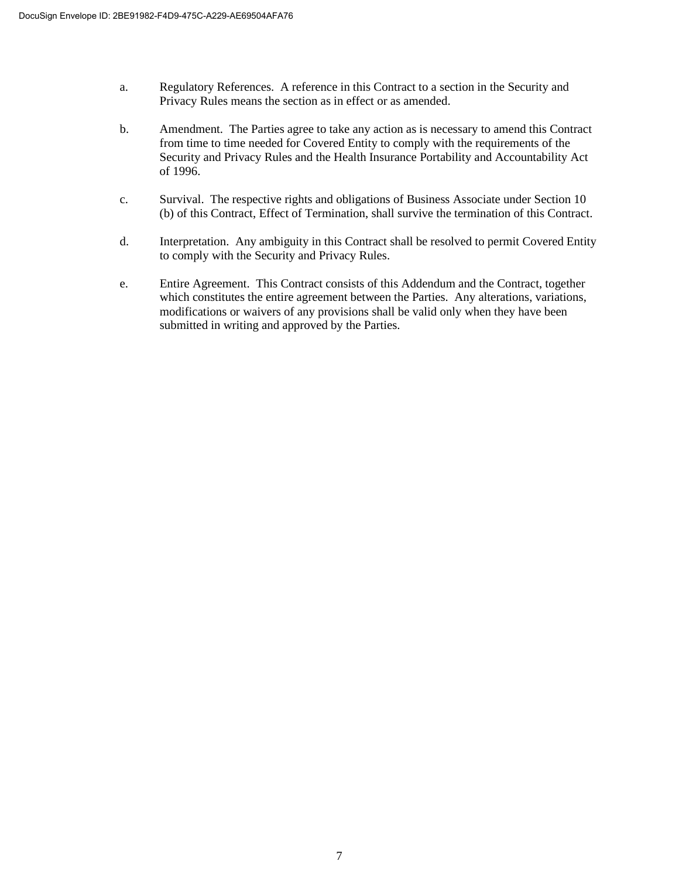- a. Regulatory References. A reference in this Contract to a section in the Security and Privacy Rules means the section as in effect or as amended.
- b. Amendment. The Parties agree to take any action as is necessary to amend this Contract from time to time needed for Covered Entity to comply with the requirements of the Security and Privacy Rules and the Health Insurance Portability and Accountability Act of 1996.
- c. Survival. The respective rights and obligations of Business Associate under Section 10 (b) of this Contract, Effect of Termination, shall survive the termination of this Contract.
- d. Interpretation. Any ambiguity in this Contract shall be resolved to permit Covered Entity to comply with the Security and Privacy Rules.
- e. Entire Agreement. This Contract consists of this Addendum and the Contract, together which constitutes the entire agreement between the Parties. Any alterations, variations, modifications or waivers of any provisions shall be valid only when they have been submitted in writing and approved by the Parties.